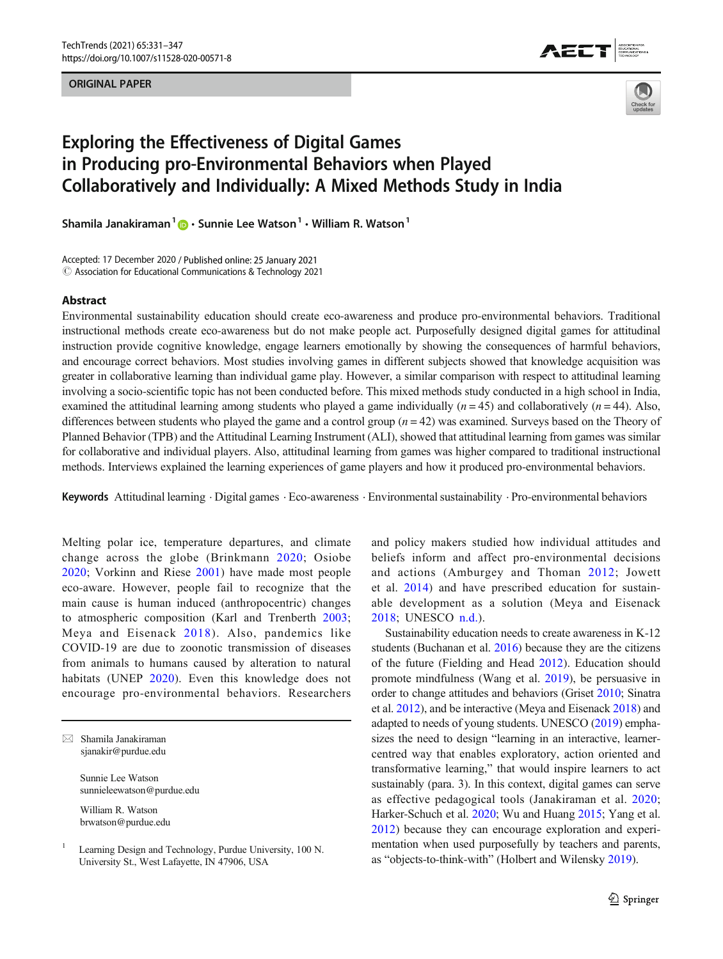### ORIGINAL PAPER





# Exploring the Effectiveness of Digital Games in Producing pro-Environmental Behaviors when Played Collaboratively and Individually: A Mixed Methods Study in India

Shamila Janakiraman<sup>1</sup>  $\mathbf{D} \cdot$  Sunnie Lee Watson<sup>1</sup>  $\cdot$  William R. Watson<sup>1</sup>

Accepted: 17 December 2020 / Published online: 25 January 2021  $\odot$  Association for Educational Communications & Technology 2021

## Abstract

Environmental sustainability education should create eco-awareness and produce pro-environmental behaviors. Traditional instructional methods create eco-awareness but do not make people act. Purposefully designed digital games for attitudinal instruction provide cognitive knowledge, engage learners emotionally by showing the consequences of harmful behaviors, and encourage correct behaviors. Most studies involving games in different subjects showed that knowledge acquisition was greater in collaborative learning than individual game play. However, a similar comparison with respect to attitudinal learning involving a socio-scientific topic has not been conducted before. This mixed methods study conducted in a high school in India, examined the attitudinal learning among students who played a game individually  $(n = 45)$  and collaboratively  $(n = 44)$ . Also, differences between students who played the game and a control group  $(n = 42)$  was examined. Surveys based on the Theory of Planned Behavior (TPB) and the Attitudinal Learning Instrument (ALI), showed that attitudinal learning from games was similar for collaborative and individual players. Also, attitudinal learning from games was higher compared to traditional instructional methods. Interviews explained the learning experiences of game players and how it produced pro-environmental behaviors.

Keywords Attitudinal learning . Digital games . Eco-awareness . Environmental sustainability . Pro-environmental behaviors

Melting polar ice, temperature departures, and climate change across the globe (Brinkmann [2020;](#page-14-0) Osiobe [2020](#page-16-0); Vorkinn and Riese [2001\)](#page-16-0) have made most people eco-aware. However, people fail to recognize that the main cause is human induced (anthropocentric) changes to atmospheric composition (Karl and Trenberth [2003](#page-15-0); Meya and Eisenack [2018](#page-15-0)). Also, pandemics like COVID-19 are due to zoonotic transmission of diseases from animals to humans caused by alteration to natural habitats (UNEP [2020\)](#page-16-0). Even this knowledge does not encourage pro-environmental behaviors. Researchers

 $\boxtimes$  Shamila Janakiraman [sjanakir@purdue.edu](mailto:sjanakir@purdue.edu)

> Sunnie Lee Watson sunnieleewatson@purdue.edu

William R. Watson brwatson@purdue.edu and policy makers studied how individual attitudes and beliefs inform and affect pro-environmental decisions and actions (Amburgey and Thoman [2012;](#page-14-0) Jowett et al. [2014](#page-15-0)) and have prescribed education for sustainable development as a solution (Meya and Eisenack [2018](#page-15-0); UNESCO [n.d.\)](#page-16-0).

Sustainability education needs to create awareness in K-12 students (Buchanan et al. [2016\)](#page-14-0) because they are the citizens of the future (Fielding and Head [2012](#page-14-0)). Education should promote mindfulness (Wang et al. [2019\)](#page-16-0), be persuasive in order to change attitudes and behaviors (Griset [2010;](#page-15-0) Sinatra et al. [2012](#page-16-0)), and be interactive (Meya and Eisenack [2018\)](#page-15-0) and adapted to needs of young students. UNESCO [\(2019\)](#page-16-0) emphasizes the need to design "learning in an interactive, learnercentred way that enables exploratory, action oriented and transformative learning," that would inspire learners to act sustainably (para. 3). In this context, digital games can serve as effective pedagogical tools (Janakiraman et al. [2020;](#page-15-0) Harker-Schuch et al. [2020;](#page-15-0) Wu and Huang [2015;](#page-16-0) Yang et al. [2012\)](#page-16-0) because they can encourage exploration and experimentation when used purposefully by teachers and parents, as "objects-to-think-with" (Holbert and Wilensky [2019\)](#page-15-0).

<sup>1</sup> Learning Design and Technology, Purdue University, 100 N. University St., West Lafayette, IN 47906, USA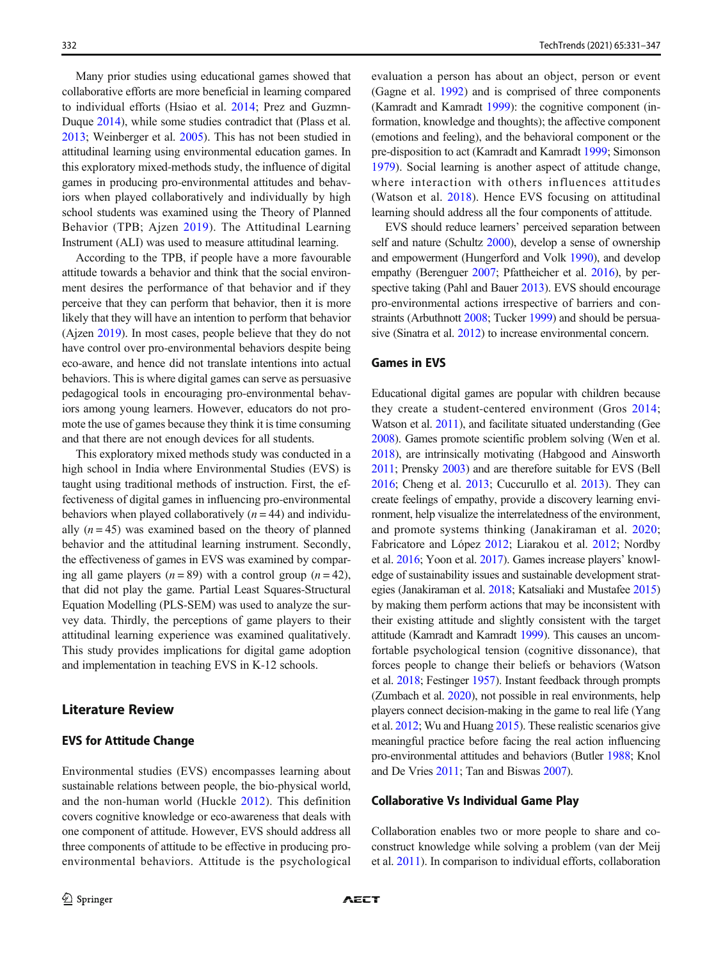Many prior studies using educational games showed that collaborative efforts are more beneficial in learning compared to individual efforts (Hsiao et al. [2014;](#page-15-0) Prez and Guzmn-Duque [2014\)](#page-16-0), while some studies contradict that (Plass et al. [2013;](#page-16-0) Weinberger et al. [2005\)](#page-16-0). This has not been studied in attitudinal learning using environmental education games. In this exploratory mixed-methods study, the influence of digital games in producing pro-environmental attitudes and behaviors when played collaboratively and individually by high school students was examined using the Theory of Planned Behavior (TPB; Ajzen [2019](#page-14-0)). The Attitudinal Learning Instrument (ALI) was used to measure attitudinal learning.

According to the TPB, if people have a more favourable attitude towards a behavior and think that the social environment desires the performance of that behavior and if they perceive that they can perform that behavior, then it is more likely that they will have an intention to perform that behavior (Ajzen [2019\)](#page-14-0). In most cases, people believe that they do not have control over pro-environmental behaviors despite being eco-aware, and hence did not translate intentions into actual behaviors. This is where digital games can serve as persuasive pedagogical tools in encouraging pro-environmental behaviors among young learners. However, educators do not promote the use of games because they think it is time consuming and that there are not enough devices for all students.

This exploratory mixed methods study was conducted in a high school in India where Environmental Studies (EVS) is taught using traditional methods of instruction. First, the effectiveness of digital games in influencing pro-environmental behaviors when played collaboratively  $(n = 44)$  and individually  $(n = 45)$  was examined based on the theory of planned behavior and the attitudinal learning instrument. Secondly, the effectiveness of games in EVS was examined by comparing all game players  $(n = 89)$  with a control group  $(n = 42)$ , that did not play the game. Partial Least Squares-Structural Equation Modelling (PLS-SEM) was used to analyze the survey data. Thirdly, the perceptions of game players to their attitudinal learning experience was examined qualitatively. This study provides implications for digital game adoption and implementation in teaching EVS in K-12 schools.

### Literature Review

### EVS for Attitude Change

Environmental studies (EVS) encompasses learning about sustainable relations between people, the bio-physical world, and the non-human world (Huckle [2012\)](#page-15-0). This definition covers cognitive knowledge or eco-awareness that deals with one component of attitude. However, EVS should address all three components of attitude to be effective in producing proenvironmental behaviors. Attitude is the psychological evaluation a person has about an object, person or event (Gagne et al. [1992](#page-15-0)) and is comprised of three components (Kamradt and Kamradt [1999](#page-15-0)): the cognitive component (information, knowledge and thoughts); the affective component (emotions and feeling), and the behavioral component or the pre-disposition to act (Kamradt and Kamradt [1999](#page-15-0); Simonson [1979\)](#page-16-0). Social learning is another aspect of attitude change, where interaction with others influences attitudes (Watson et al. [2018\)](#page-16-0). Hence EVS focusing on attitudinal learning should address all the four components of attitude.

EVS should reduce learners' perceived separation between self and nature (Schultz [2000](#page-16-0)), develop a sense of ownership and empowerment (Hungerford and Volk [1990\)](#page-15-0), and develop empathy (Berenguer [2007;](#page-14-0) Pfattheicher et al. [2016](#page-16-0)), by perspective taking (Pahl and Bauer [2013\)](#page-16-0). EVS should encourage pro-environmental actions irrespective of barriers and constraints (Arbuthnott [2008;](#page-14-0) Tucker [1999](#page-16-0)) and should be persuasive (Sinatra et al. [2012](#page-16-0)) to increase environmental concern.

### Games in EVS

Educational digital games are popular with children because they create a student-centered environment (Gros [2014;](#page-15-0) Watson et al. [2011](#page-16-0)), and facilitate situated understanding (Gee [2008](#page-15-0)). Games promote scientific problem solving (Wen et al. [2018\)](#page-16-0), are intrinsically motivating (Habgood and Ainsworth [2011](#page-15-0); Prensky [2003\)](#page-16-0) and are therefore suitable for EVS (Bell [2016](#page-14-0); Cheng et al. [2013](#page-14-0); Cuccurullo et al. [2013](#page-14-0)). They can create feelings of empathy, provide a discovery learning environment, help visualize the interrelatedness of the environment, and promote systems thinking (Janakiraman et al. [2020;](#page-15-0) Fabricatore and López [2012](#page-14-0); Liarakou et al. [2012;](#page-15-0) Nordby et al. [2016;](#page-15-0) Yoon et al. [2017\)](#page-16-0). Games increase players' knowledge of sustainability issues and sustainable development strategies (Janakiraman et al. [2018;](#page-15-0) Katsaliaki and Mustafee [2015](#page-15-0)) by making them perform actions that may be inconsistent with their existing attitude and slightly consistent with the target attitude (Kamradt and Kamradt [1999\)](#page-15-0). This causes an uncomfortable psychological tension (cognitive dissonance), that forces people to change their beliefs or behaviors (Watson et al. [2018](#page-16-0); Festinger [1957](#page-14-0)). Instant feedback through prompts (Zumbach et al. [2020](#page-16-0)), not possible in real environments, help players connect decision-making in the game to real life (Yang et al. [2012;](#page-16-0) Wu and Huang [2015\)](#page-16-0). These realistic scenarios give meaningful practice before facing the real action influencing pro-environmental attitudes and behaviors (Butler [1988](#page-14-0); Knol and De Vries [2011;](#page-15-0) Tan and Biswas [2007\)](#page-16-0).

### Collaborative Vs Individual Game Play

Collaboration enables two or more people to share and coconstruct knowledge while solving a problem (van der Meij et al. [2011\)](#page-16-0). In comparison to individual efforts, collaboration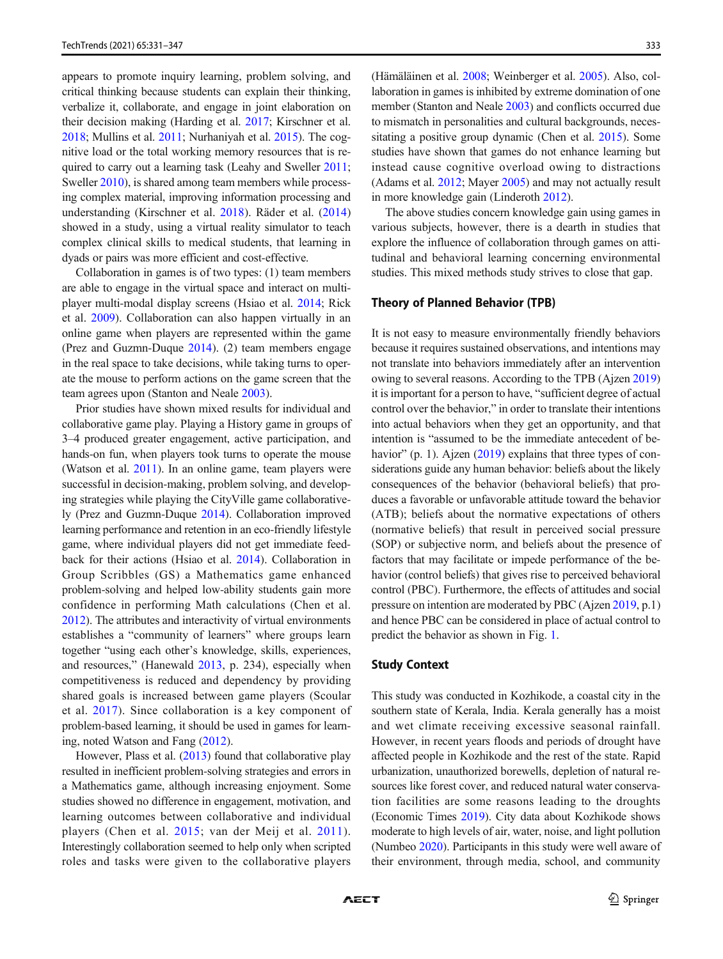appears to promote inquiry learning, problem solving, and critical thinking because students can explain their thinking, verbalize it, collaborate, and engage in joint elaboration on their decision making (Harding et al. [2017;](#page-15-0) Kirschner et al. [2018;](#page-15-0) Mullins et al. [2011](#page-15-0); Nurhaniyah et al. [2015\)](#page-15-0). The cognitive load or the total working memory resources that is required to carry out a learning task (Leahy and Sweller [2011](#page-15-0); Sweller [2010](#page-16-0)), is shared among team members while processing complex material, improving information processing and understanding (Kirschner et al. [2018](#page-15-0)). Räder et al. ([2014\)](#page-16-0) showed in a study, using a virtual reality simulator to teach complex clinical skills to medical students, that learning in dyads or pairs was more efficient and cost-effective.

Collaboration in games is of two types: (1) team members are able to engage in the virtual space and interact on multiplayer multi-modal display screens (Hsiao et al. [2014;](#page-15-0) Rick et al. [2009\)](#page-16-0). Collaboration can also happen virtually in an online game when players are represented within the game (Prez and Guzmn-Duque [2014\)](#page-16-0). (2) team members engage in the real space to take decisions, while taking turns to operate the mouse to perform actions on the game screen that the team agrees upon (Stanton and Neale [2003\)](#page-16-0).

Prior studies have shown mixed results for individual and collaborative game play. Playing a History game in groups of 3–4 produced greater engagement, active participation, and hands-on fun, when players took turns to operate the mouse (Watson et al. [2011\)](#page-16-0). In an online game, team players were successful in decision-making, problem solving, and developing strategies while playing the CityVille game collaboratively (Prez and Guzmn-Duque [2014](#page-16-0)). Collaboration improved learning performance and retention in an eco-friendly lifestyle game, where individual players did not get immediate feedback for their actions (Hsiao et al. [2014\)](#page-15-0). Collaboration in Group Scribbles (GS) a Mathematics game enhanced problem-solving and helped low-ability students gain more confidence in performing Math calculations (Chen et al. [2012\)](#page-14-0). The attributes and interactivity of virtual environments establishes a "community of learners" where groups learn together "using each other's knowledge, skills, experiences, and resources," (Hanewald [2013](#page-15-0), p. 234), especially when competitiveness is reduced and dependency by providing shared goals is increased between game players (Scoular et al. [2017](#page-16-0)). Since collaboration is a key component of problem-based learning, it should be used in games for learning, noted Watson and Fang [\(2012\)](#page-16-0).

However, Plass et al. [\(2013](#page-16-0)) found that collaborative play resulted in inefficient problem-solving strategies and errors in a Mathematics game, although increasing enjoyment. Some studies showed no difference in engagement, motivation, and learning outcomes between collaborative and individual players (Chen et al. [2015](#page-14-0); van der Meij et al. [2011](#page-16-0)). Interestingly collaboration seemed to help only when scripted roles and tasks were given to the collaborative players (Hämäläinen et al. [2008;](#page-15-0) Weinberger et al. [2005\)](#page-16-0). Also, collaboration in games is inhibited by extreme domination of one member (Stanton and Neale [2003](#page-16-0)) and conflicts occurred due to mismatch in personalities and cultural backgrounds, necessitating a positive group dynamic (Chen et al. [2015\)](#page-14-0). Some studies have shown that games do not enhance learning but instead cause cognitive overload owing to distractions (Adams et al. [2012](#page-14-0); Mayer [2005](#page-15-0)) and may not actually result in more knowledge gain (Linderoth [2012](#page-15-0)).

The above studies concern knowledge gain using games in various subjects, however, there is a dearth in studies that explore the influence of collaboration through games on attitudinal and behavioral learning concerning environmental studies. This mixed methods study strives to close that gap.

### Theory of Planned Behavior (TPB)

It is not easy to measure environmentally friendly behaviors because it requires sustained observations, and intentions may not translate into behaviors immediately after an intervention owing to several reasons. According to the TPB (Ajzen [2019](#page-14-0)) it is important for a person to have, "sufficient degree of actual control over the behavior," in order to translate their intentions into actual behaviors when they get an opportunity, and that intention is "assumed to be the immediate antecedent of be-havior" (p. 1). Ajzen [\(2019\)](#page-14-0) explains that three types of considerations guide any human behavior: beliefs about the likely consequences of the behavior (behavioral beliefs) that produces a favorable or unfavorable attitude toward the behavior (ATB); beliefs about the normative expectations of others (normative beliefs) that result in perceived social pressure (SOP) or subjective norm, and beliefs about the presence of factors that may facilitate or impede performance of the behavior (control beliefs) that gives rise to perceived behavioral control (PBC). Furthermore, the effects of attitudes and social pressure on intention are moderated by PBC (Ajzen [2019](#page-14-0), p.1) and hence PBC can be considered in place of actual control to predict the behavior as shown in Fig. [1](#page-3-0).

### Study Context

This study was conducted in Kozhikode, a coastal city in the southern state of Kerala, India. Kerala generally has a moist and wet climate receiving excessive seasonal rainfall. However, in recent years floods and periods of drought have affected people in Kozhikode and the rest of the state. Rapid urbanization, unauthorized borewells, depletion of natural resources like forest cover, and reduced natural water conservation facilities are some reasons leading to the droughts (Economic Times [2019](#page-14-0)). City data about Kozhikode shows moderate to high levels of air, water, noise, and light pollution (Numbeo [2020\)](#page-15-0). Participants in this study were well aware of their environment, through media, school, and community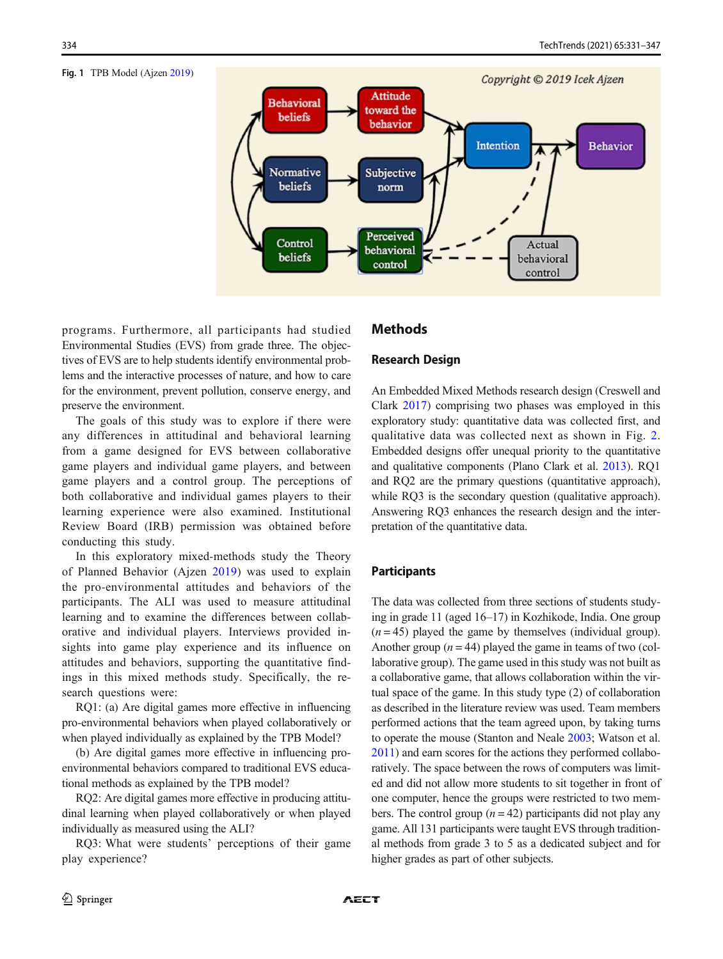#### <span id="page-3-0"></span>Fig. 1 TPB Model (Ajzen [2019\)](#page-14-0)



programs. Furthermore, all participants had studied Environmental Studies (EVS) from grade three. The objectives of EVS are to help students identify environmental problems and the interactive processes of nature, and how to care for the environment, prevent pollution, conserve energy, and preserve the environment.

The goals of this study was to explore if there were any differences in attitudinal and behavioral learning from a game designed for EVS between collaborative game players and individual game players, and between game players and a control group. The perceptions of both collaborative and individual games players to their learning experience were also examined. Institutional Review Board (IRB) permission was obtained before conducting this study.

In this exploratory mixed-methods study the Theory of Planned Behavior (Ajzen [2019](#page-14-0)) was used to explain the pro-environmental attitudes and behaviors of the participants. The ALI was used to measure attitudinal learning and to examine the differences between collaborative and individual players. Interviews provided insights into game play experience and its influence on attitudes and behaviors, supporting the quantitative findings in this mixed methods study. Specifically, the research questions were:

RQ1: (a) Are digital games more effective in influencing pro-environmental behaviors when played collaboratively or when played individually as explained by the TPB Model?

(b) Are digital games more effective in influencing proenvironmental behaviors compared to traditional EVS educational methods as explained by the TPB model?

RQ2: Are digital games more effective in producing attitudinal learning when played collaboratively or when played individually as measured using the ALI?

RQ3: What were students' perceptions of their game play experience?

### **Methods**

### Research Design

An Embedded Mixed Methods research design (Creswell and Clark [2017\)](#page-14-0) comprising two phases was employed in this exploratory study: quantitative data was collected first, and qualitative data was collected next as shown in Fig. [2.](#page-4-0) Embedded designs offer unequal priority to the quantitative and qualitative components (Plano Clark et al. [2013](#page-16-0)). RQ1 and RQ2 are the primary questions (quantitative approach), while RQ3 is the secondary question (qualitative approach). Answering RQ3 enhances the research design and the interpretation of the quantitative data.

### **Participants**

The data was collected from three sections of students studying in grade 11 (aged 16–17) in Kozhikode, India. One group  $(n = 45)$  played the game by themselves (individual group). Another group  $(n = 44)$  played the game in teams of two (collaborative group). The game used in this study was not built as a collaborative game, that allows collaboration within the virtual space of the game. In this study type (2) of collaboration as described in the literature review was used. Team members performed actions that the team agreed upon, by taking turns to operate the mouse (Stanton and Neale [2003](#page-16-0); Watson et al. [2011\)](#page-16-0) and earn scores for the actions they performed collaboratively. The space between the rows of computers was limited and did not allow more students to sit together in front of one computer, hence the groups were restricted to two members. The control group  $(n = 42)$  participants did not play any game. All 131 participants were taught EVS through traditional methods from grade 3 to 5 as a dedicated subject and for higher grades as part of other subjects.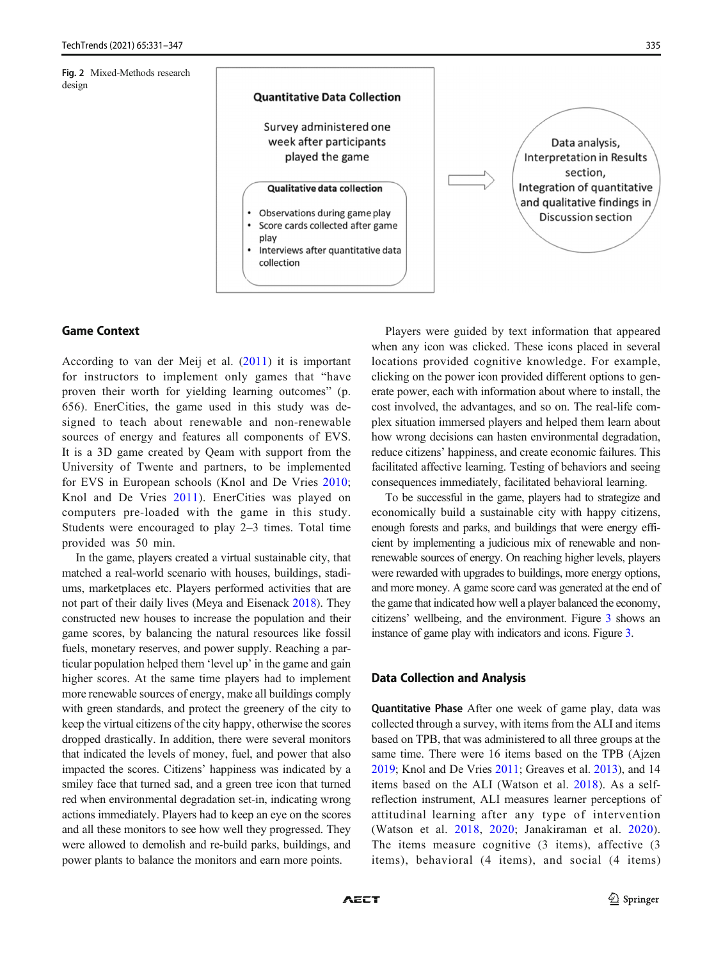<span id="page-4-0"></span>



# Game Context

According to van der Meij et al. [\(2011\)](#page-16-0) it is important for instructors to implement only games that "have proven their worth for yielding learning outcomes" (p. 656). EnerCities, the game used in this study was designed to teach about renewable and non-renewable sources of energy and features all components of EVS. It is a 3D game created by Qeam with support from the University of Twente and partners, to be implemented for EVS in European schools (Knol and De Vries [2010](#page-15-0); Knol and De Vries [2011\)](#page-15-0). EnerCities was played on computers pre-loaded with the game in this study. Students were encouraged to play 2–3 times. Total time provided was 50 min.

In the game, players created a virtual sustainable city, that matched a real-world scenario with houses, buildings, stadiums, marketplaces etc. Players performed activities that are not part of their daily lives (Meya and Eisenack [2018\)](#page-15-0). They constructed new houses to increase the population and their game scores, by balancing the natural resources like fossil fuels, monetary reserves, and power supply. Reaching a particular population helped them 'level up' in the game and gain higher scores. At the same time players had to implement more renewable sources of energy, make all buildings comply with green standards, and protect the greenery of the city to keep the virtual citizens of the city happy, otherwise the scores dropped drastically. In addition, there were several monitors that indicated the levels of money, fuel, and power that also impacted the scores. Citizens' happiness was indicated by a smiley face that turned sad, and a green tree icon that turned red when environmental degradation set-in, indicating wrong actions immediately. Players had to keep an eye on the scores and all these monitors to see how well they progressed. They were allowed to demolish and re-build parks, buildings, and power plants to balance the monitors and earn more points.

Players were guided by text information that appeared when any icon was clicked. These icons placed in several locations provided cognitive knowledge. For example, clicking on the power icon provided different options to generate power, each with information about where to install, the cost involved, the advantages, and so on. The real-life complex situation immersed players and helped them learn about how wrong decisions can hasten environmental degradation, reduce citizens' happiness, and create economic failures. This facilitated affective learning. Testing of behaviors and seeing consequences immediately, facilitated behavioral learning.

To be successful in the game, players had to strategize and economically build a sustainable city with happy citizens, enough forests and parks, and buildings that were energy efficient by implementing a judicious mix of renewable and nonrenewable sources of energy. On reaching higher levels, players were rewarded with upgrades to buildings, more energy options, and more money. A game score card was generated at the end of the game that indicated how well a player balanced the economy, citizens' wellbeing, and the environment. Figure [3](#page-5-0) shows an instance of game play with indicators and icons. Figure [3.](#page-5-0)

### Data Collection and Analysis

Quantitative Phase After one week of game play, data was collected through a survey, with items from the ALI and items based on TPB, that was administered to all three groups at the same time. There were 16 items based on the TPB (Ajzen [2019;](#page-14-0) Knol and De Vries [2011;](#page-15-0) Greaves et al. [2013](#page-15-0)), and 14 items based on the ALI (Watson et al. [2018](#page-16-0)). As a selfreflection instrument, ALI measures learner perceptions of attitudinal learning after any type of intervention (Watson et al. [2018](#page-16-0), [2020;](#page-16-0) Janakiraman et al. [2020](#page-15-0)). The items measure cognitive (3 items), affective (3 items), behavioral (4 items), and social (4 items)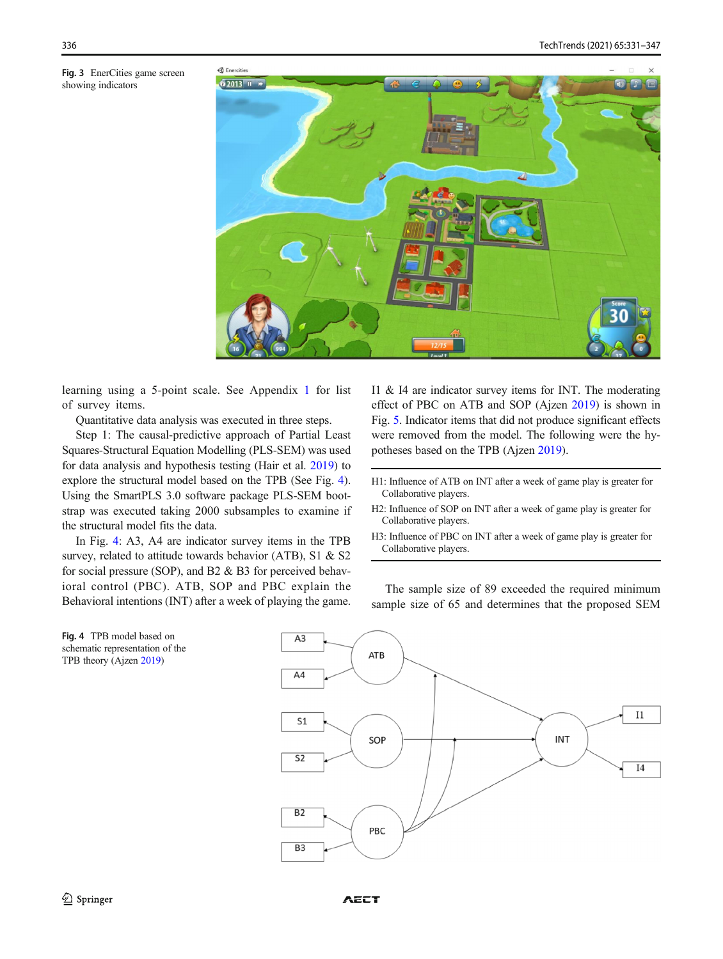<span id="page-5-0"></span>



learning using a 5-point scale. See Appendix [1](#page-13-0) for list of survey items.

Quantitative data analysis was executed in three steps.

Step 1: The causal-predictive approach of Partial Least Squares-Structural Equation Modelling (PLS-SEM) was used for data analysis and hypothesis testing (Hair et al. [2019](#page-15-0)) to explore the structural model based on the TPB (See Fig. 4). Using the SmartPLS 3.0 software package PLS-SEM bootstrap was executed taking 2000 subsamples to examine if the structural model fits the data.

In Fig. 4: A3, A4 are indicator survey items in the TPB survey, related to attitude towards behavior (ATB), S1 & S2 for social pressure (SOP), and B2 & B3 for perceived behavioral control (PBC). ATB, SOP and PBC explain the Behavioral intentions (INT) after a week of playing the game. I1 & I4 are indicator survey items for INT. The moderating effect of PBC on ATB and SOP (Ajzen [2019\)](#page-14-0) is shown in Fig. [5.](#page-6-0) Indicator items that did not produce significant effects were removed from the model. The following were the hypotheses based on the TPB (Ajzen [2019\)](#page-14-0).

- H2: Influence of SOP on INT after a week of game play is greater for Collaborative players.
- H3: Influence of PBC on INT after a week of game play is greater for Collaborative players.

The sample size of 89 exceeded the required minimum sample size of 65 and determines that the proposed SEM





H1: Influence of ATB on INT after a week of game play is greater for Collaborative players.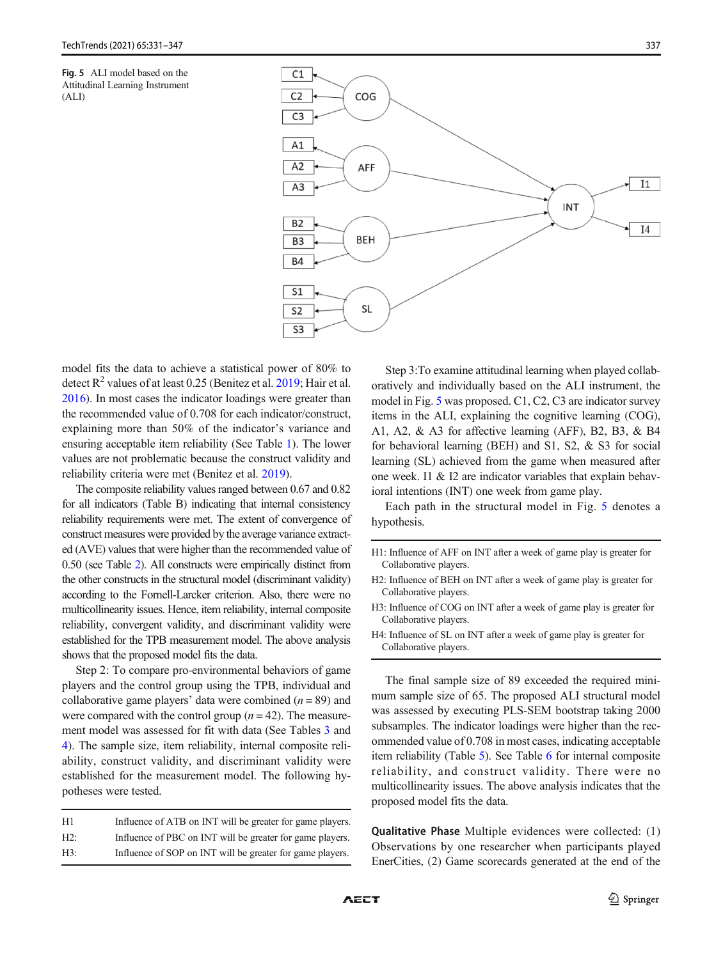<span id="page-6-0"></span>



model fits the data to achieve a statistical power of 80% to detect  $R^2$  values of at least 0.25 (Benitez et al. [2019](#page-14-0); Hair et al. [2016\)](#page-15-0). In most cases the indicator loadings were greater than the recommended value of 0.708 for each indicator/construct, explaining more than 50% of the indicator's variance and ensuring acceptable item reliability (See Table [1\)](#page-7-0). The lower values are not problematic because the construct validity and reliability criteria were met (Benitez et al. [2019](#page-14-0)).

The composite reliability values ranged between 0.67 and 0.82 for all indicators (Table B) indicating that internal consistency reliability requirements were met. The extent of convergence of construct measures were provided by the average variance extracted (AVE) values that were higher than the recommended value of 0.50 (see Table [2\)](#page-7-0). All constructs were empirically distinct from the other constructs in the structural model (discriminant validity) according to the Fornell-Larcker criterion. Also, there were no multicollinearity issues. Hence, item reliability, internal composite reliability, convergent validity, and discriminant validity were established for the TPB measurement model. The above analysis shows that the proposed model fits the data.

Step 2: To compare pro-environmental behaviors of game players and the control group using the TPB, individual and collaborative game players' data were combined  $(n = 89)$  and were compared with the control group  $(n = 42)$ . The measurement model was assessed for fit with data (See Tables [3](#page-8-0) and [4\)](#page-8-0). The sample size, item reliability, internal composite reliability, construct validity, and discriminant validity were established for the measurement model. The following hypotheses were tested.

| H1  | Influence of ATB on INT will be greater for game players. |
|-----|-----------------------------------------------------------|
| H2: | Influence of PBC on INT will be greater for game players. |
| H3: | Influence of SOP on INT will be greater for game players. |

Step 3:To examine attitudinal learning when played collaboratively and individually based on the ALI instrument, the model in Fig. 5 was proposed. C1, C2, C3 are indicator survey items in the ALI, explaining the cognitive learning (COG), A1, A2, & A3 for affective learning (AFF), B2, B3, & B4 for behavioral learning (BEH) and S1, S2, & S3 for social learning (SL) achieved from the game when measured after one week. I1 & I2 are indicator variables that explain behavioral intentions (INT) one week from game play.

Each path in the structural model in Fig. 5 denotes a hypothesis.

H1: Influence of AFF on INT after a week of game play is greater for Collaborative players.

The final sample size of 89 exceeded the required minimum sample size of 65. The proposed ALI structural model was assessed by executing PLS-SEM bootstrap taking 2000 subsamples. The indicator loadings were higher than the recommended value of 0.708 in most cases, indicating acceptable item reliability (Table [5](#page-9-0)). See Table [6](#page-9-0) for internal composite reliability, and construct validity. There were no multicollinearity issues. The above analysis indicates that the proposed model fits the data.

Qualitative Phase Multiple evidences were collected: (1) Observations by one researcher when participants played EnerCities, (2) Game scorecards generated at the end of the

H2: Influence of BEH on INT after a week of game play is greater for Collaborative players.

H3: Influence of COG on INT after a week of game play is greater for Collaborative players.

H4: Influence of SL on INT after a week of game play is greater for Collaborative players.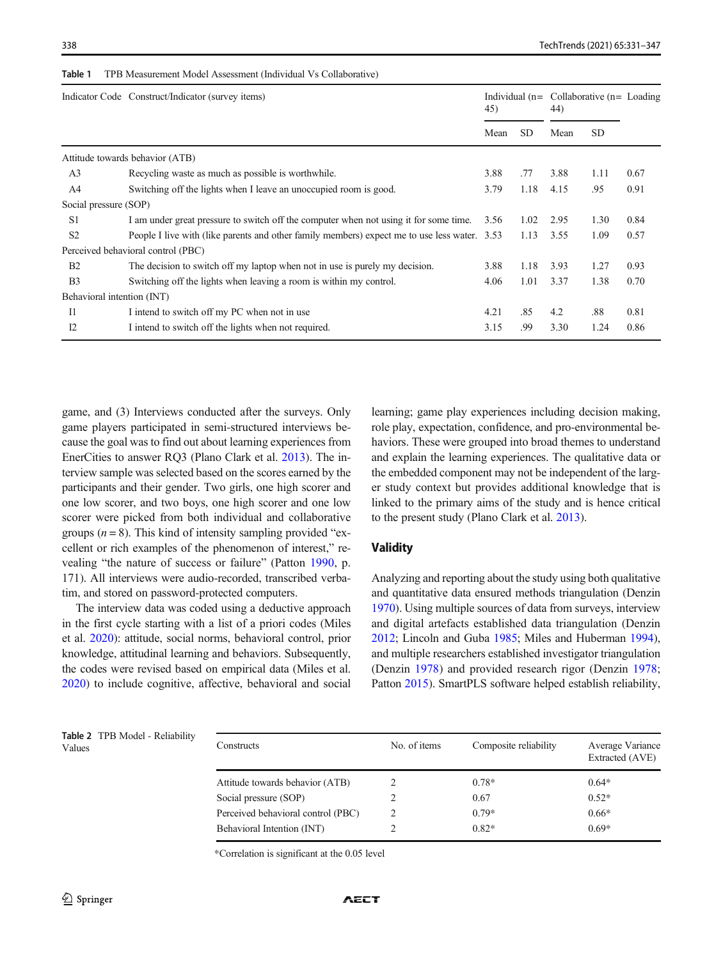|                            | Indicator Code Construct/Indicator (survey items)                                            |      | 45)       |      | Individual $(n =$ Collaborative $(n =$ Loading<br>44) |      |
|----------------------------|----------------------------------------------------------------------------------------------|------|-----------|------|-------------------------------------------------------|------|
|                            |                                                                                              | Mean | <b>SD</b> | Mean | <b>SD</b>                                             |      |
|                            | Attitude towards behavior (ATB)                                                              |      |           |      |                                                       |      |
| A <sub>3</sub>             | Recycling waste as much as possible is worthwhile.                                           | 3.88 | .77       | 3.88 | 1.11                                                  | 0.67 |
| A <sup>4</sup>             | Switching off the lights when I leave an unoccupied room is good.                            | 3.79 | 1.18      | 4.15 | .95                                                   | 0.91 |
| Social pressure (SOP)      |                                                                                              |      |           |      |                                                       |      |
| S <sub>1</sub>             | I am under great pressure to switch off the computer when not using it for some time.        | 3.56 | 1.02      | 2.95 | 1.30                                                  | 0.84 |
| S <sub>2</sub>             | People I live with (like parents and other family members) expect me to use less water. 3.53 |      | 1.13      | 3.55 | 1.09                                                  | 0.57 |
|                            | Perceived behavioral control (PBC)                                                           |      |           |      |                                                       |      |
| B <sub>2</sub>             | The decision to switch off my laptop when not in use is purely my decision.                  | 3.88 | 1.18      | 3.93 | 1.27                                                  | 0.93 |
| B <sub>3</sub>             | Switching off the lights when leaving a room is within my control.                           | 4.06 | 1.01      | 3.37 | 1.38                                                  | 0.70 |
| Behavioral intention (INT) |                                                                                              |      |           |      |                                                       |      |
| $_{\text{I}1}$             | I intend to switch off my PC when not in use                                                 | 4.21 | .85       | 4.2  | .88                                                   | 0.81 |
| 12                         | I intend to switch off the lights when not required.                                         | 3.15 | .99       | 3.30 | 1.24                                                  | 0.86 |

<span id="page-7-0"></span>Table 1 TPB Measurement Model Assessment (Individual Vs Collaborative)

game, and (3) Interviews conducted after the surveys. Only game players participated in semi-structured interviews because the goal was to find out about learning experiences from EnerCities to answer RQ3 (Plano Clark et al. [2013\)](#page-16-0). The interview sample was selected based on the scores earned by the participants and their gender. Two girls, one high scorer and one low scorer, and two boys, one high scorer and one low scorer were picked from both individual and collaborative groups  $(n = 8)$ . This kind of intensity sampling provided "excellent or rich examples of the phenomenon of interest," revealing "the nature of success or failure" (Patton [1990](#page-16-0), p. 171). All interviews were audio-recorded, transcribed verbatim, and stored on password-protected computers.

The interview data was coded using a deductive approach in the first cycle starting with a list of a priori codes (Miles et al. [2020\)](#page-15-0): attitude, social norms, behavioral control, prior knowledge, attitudinal learning and behaviors. Subsequently, the codes were revised based on empirical data (Miles et al. [2020\)](#page-15-0) to include cognitive, affective, behavioral and social learning; game play experiences including decision making, role play, expectation, confidence, and pro-environmental behaviors. These were grouped into broad themes to understand and explain the learning experiences. The qualitative data or the embedded component may not be independent of the larger study context but provides additional knowledge that is linked to the primary aims of the study and is hence critical to the present study (Plano Clark et al. [2013](#page-16-0)).

# Validity

Analyzing and reporting about the study using both qualitative and quantitative data ensured methods triangulation (Denzin [1970\)](#page-14-0). Using multiple sources of data from surveys, interview and digital artefacts established data triangulation (Denzin [2012;](#page-14-0) Lincoln and Guba [1985](#page-15-0); Miles and Huberman [1994\)](#page-15-0), and multiple researchers established investigator triangulation (Denzin [1978\)](#page-14-0) and provided research rigor (Denzin [1978;](#page-14-0) Patton [2015](#page-16-0)). SmartPLS software helped establish reliability,

Table 2 TPB Model - Reliability

| Table 2 TPB Model - Reliability<br>Values | Constructs                         | No. of items | Composite reliability | Average Variance<br>Extracted (AVE) |
|-------------------------------------------|------------------------------------|--------------|-----------------------|-------------------------------------|
|                                           | Attitude towards behavior (ATB)    |              | $0.78*$               | $0.64*$                             |
|                                           | Social pressure (SOP)              |              | 0.67                  | $0.52*$                             |
|                                           | Perceived behavioral control (PBC) |              | $0.79*$               | $0.66*$                             |
|                                           | Behavioral Intention (INT)         |              | $0.82*$               | $0.69*$                             |

\*Correlation is significant at the 0.05 level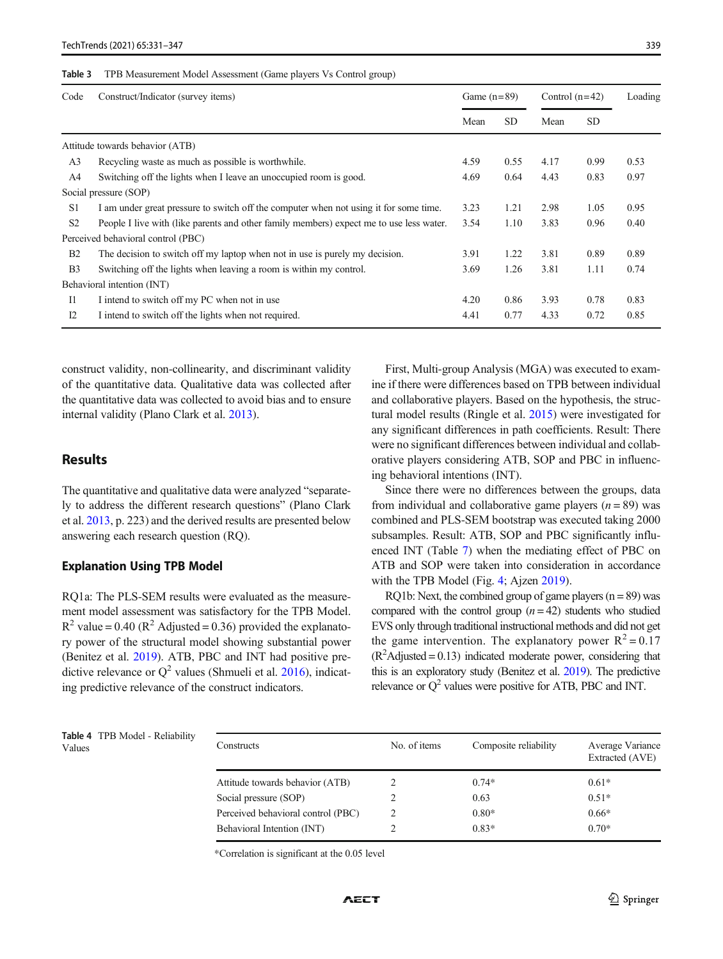#### <span id="page-8-0"></span>Table 3 TPB Measurement Model Assessment (Game players Vs Control group)

| Code           | Construct/Indicator (survey items)                                                      |      | Game $(n=89)$ |      | Control $(n=42)$ |      |
|----------------|-----------------------------------------------------------------------------------------|------|---------------|------|------------------|------|
|                |                                                                                         | Mean | <b>SD</b>     | Mean | <b>SD</b>        |      |
|                | Attitude towards behavior (ATB)                                                         |      |               |      |                  |      |
| A3             | Recycling waste as much as possible is worthwhile.                                      | 4.59 | 0.55          | 4.17 | 0.99             | 0.53 |
| A4             | Switching off the lights when I leave an unoccupied room is good.                       | 4.69 | 0.64          | 4.43 | 0.83             | 0.97 |
|                | Social pressure (SOP)                                                                   |      |               |      |                  |      |
| S <sub>1</sub> | I am under great pressure to switch off the computer when not using it for some time.   | 3.23 | 1.21          | 2.98 | 1.05             | 0.95 |
| S <sub>2</sub> | People I live with (like parents and other family members) expect me to use less water. |      | 1.10          | 3.83 | 0.96             | 0.40 |
|                | Perceived behavioral control (PBC)                                                      |      |               |      |                  |      |
| B <sub>2</sub> | The decision to switch off my laptop when not in use is purely my decision.             | 3.91 | 1.22          | 3.81 | 0.89             | 0.89 |
| B <sub>3</sub> | Switching off the lights when leaving a room is within my control.                      | 3.69 | 1.26          | 3.81 | 1.11             | 0.74 |
|                | Behavioral intention (INT)                                                              |      |               |      |                  |      |
| $_{\rm II}$    | I intend to switch off my PC when not in use                                            | 4.20 | 0.86          | 3.93 | 0.78             | 0.83 |
| 12             | I intend to switch off the lights when not required.                                    | 4.41 | 0.77          | 4.33 | 0.72             | 0.85 |

construct validity, non-collinearity, and discriminant validity of the quantitative data. Qualitative data was collected after the quantitative data was collected to avoid bias and to ensure internal validity (Plano Clark et al. [2013](#page-16-0)).

### Results

The quantitative and qualitative data were analyzed "separately to address the different research questions" (Plano Clark et al. [2013,](#page-16-0) p. 223) and the derived results are presented below answering each research question (RQ).

### Explanation Using TPB Model

RQ1a: The PLS-SEM results were evaluated as the measurement model assessment was satisfactory for the TPB Model.  $R^2$  value = 0.40 ( $R^2$  Adjusted = 0.36) provided the explanatory power of the structural model showing substantial power (Benitez et al. [2019](#page-14-0)). ATB, PBC and INT had positive predictive relevance or  $Q^2$  values (Shmueli et al. [2016](#page-16-0)), indicating predictive relevance of the construct indicators.

First, Multi-group Analysis (MGA) was executed to examine if there were differences based on TPB between individual and collaborative players. Based on the hypothesis, the structural model results (Ringle et al. [2015\)](#page-16-0) were investigated for any significant differences in path coefficients. Result: There were no significant differences between individual and collaborative players considering ATB, SOP and PBC in influencing behavioral intentions (INT).

Since there were no differences between the groups, data from individual and collaborative game players  $(n = 89)$  was combined and PLS-SEM bootstrap was executed taking 2000 subsamples. Result: ATB, SOP and PBC significantly influenced INT (Table [7\)](#page-10-0) when the mediating effect of PBC on ATB and SOP were taken into consideration in accordance with the TPB Model (Fig. [4](#page-5-0); Ajzen [2019\)](#page-14-0).

RQ1b: Next, the combined group of game players  $(n = 89)$  was compared with the control group  $(n = 42)$  students who studied EVS only through traditional instructional methods and did not get the game intervention. The explanatory power  $R^2 = 0.17$  $(R<sup>2</sup>$ Adjusted = 0.13) indicated moderate power, considering that this is an exploratory study (Benitez et al. [2019\)](#page-14-0). The predictive relevance or  $Q^2$  values were positive for ATB, PBC and INT.

|        | <b>Table 4</b> TPB Model - Reliability |
|--------|----------------------------------------|
| Values |                                        |

| <b>Table 4</b> TPB Model - Reliability<br>Values | Constructs                         | No. of items | Composite reliability | Average Variance<br>Extracted (AVE) |
|--------------------------------------------------|------------------------------------|--------------|-----------------------|-------------------------------------|
|                                                  | Attitude towards behavior (ATB)    |              | $0.74*$               | $0.61*$                             |
|                                                  | Social pressure (SOP)              |              | 0.63                  | $0.51*$                             |
|                                                  | Perceived behavioral control (PBC) |              | $0.80*$               | $0.66*$                             |
|                                                  | Behavioral Intention (INT)         |              | $0.83*$               | $0.70*$                             |
|                                                  |                                    |              |                       |                                     |

\*Correlation is significant at the 0.05 level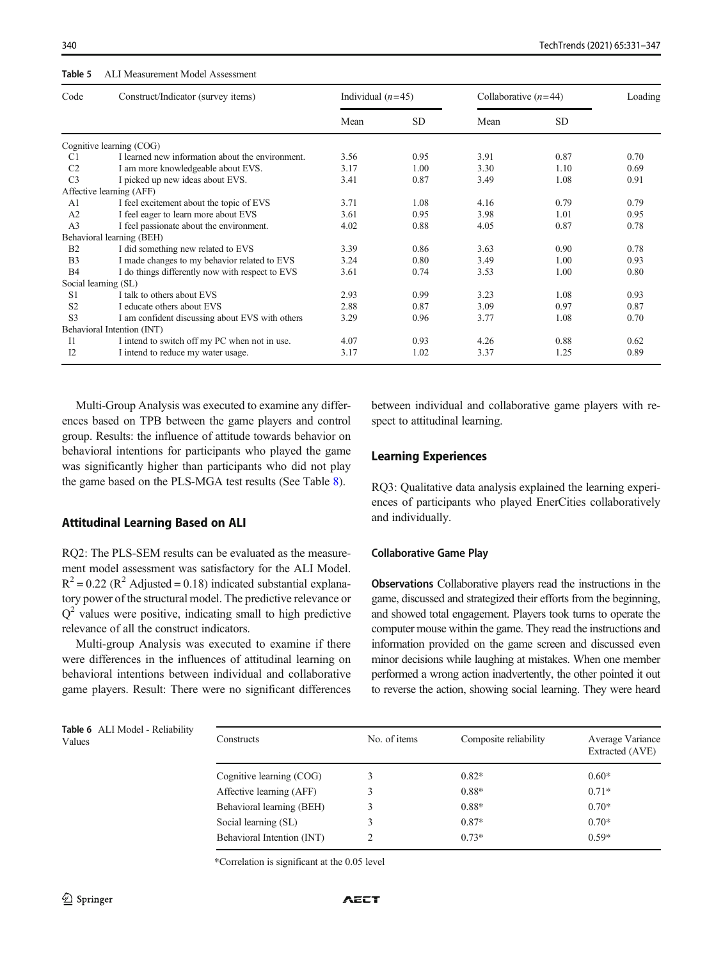### <span id="page-9-0"></span>Table 5 ALI Measurement Model Assessment

| Code           | Construct/Indicator (survey items)               | Individual $(n=45)$ |           | Collaborative $(n=44)$ |           | Loading |  |
|----------------|--------------------------------------------------|---------------------|-----------|------------------------|-----------|---------|--|
|                |                                                  | Mean                | <b>SD</b> | Mean                   | <b>SD</b> |         |  |
|                | Cognitive learning (COG)                         |                     |           |                        |           |         |  |
| C <sub>1</sub> | I learned new information about the environment. | 3.56                | 0.95      | 3.91                   | 0.87      | 0.70    |  |
| C <sub>2</sub> | I am more knowledgeable about EVS.               | 3.17                | 1.00      | 3.30                   | 1.10      | 0.69    |  |
| C <sub>3</sub> | I picked up new ideas about EVS.                 | 3.41                | 0.87      | 3.49                   | 1.08      | 0.91    |  |
|                | Affective learning (AFF)                         |                     |           |                        |           |         |  |
| A <sub>1</sub> | I feel excitement about the topic of EVS         | 3.71                | 1.08      | 4.16                   | 0.79      | 0.79    |  |
| A <sub>2</sub> | I feel eager to learn more about EVS             | 3.61                | 0.95      | 3.98                   | 1.01      | 0.95    |  |
| A <sub>3</sub> | I feel passionate about the environment.         | 4.02                | 0.88      | 4.05                   | 0.87      | 0.78    |  |
|                | Behavioral learning (BEH)                        |                     |           |                        |           |         |  |
| <b>B2</b>      | I did something new related to EVS               | 3.39                | 0.86      | 3.63                   | 0.90      | 0.78    |  |
| B <sub>3</sub> | I made changes to my behavior related to EVS     | 3.24                | 0.80      | 3.49                   | 1.00      | 0.93    |  |
| B <sub>4</sub> | I do things differently now with respect to EVS  | 3.61                | 0.74      | 3.53                   | 1.00      | 0.80    |  |
|                | Social learning (SL)                             |                     |           |                        |           |         |  |
| S <sub>1</sub> | I talk to others about EVS                       | 2.93                | 0.99      | 3.23                   | 1.08      | 0.93    |  |
| S <sub>2</sub> | I educate others about EVS                       | 2.88                | 0.87      | 3.09                   | 0.97      | 0.87    |  |
| S <sub>3</sub> | I am confident discussing about EVS with others  | 3.29                | 0.96      | 3.77                   | 1.08      | 0.70    |  |
|                | Behavioral Intention (INT)                       |                     |           |                        |           |         |  |
| <b>I</b> 1     | I intend to switch off my PC when not in use.    | 4.07                | 0.93      | 4.26                   | 0.88      | 0.62    |  |
| 12             | I intend to reduce my water usage.               | 3.17                | 1.02      | 3.37                   | 1.25      | 0.89    |  |

Multi-Group Analysis was executed to examine any differences based on TPB between the game players and control group. Results: the influence of attitude towards behavior on behavioral intentions for participants who played the game was significantly higher than participants who did not play the game based on the PLS-MGA test results (See Table [8](#page-10-0)).

### Attitudinal Learning Based on ALI

RQ2: The PLS-SEM results can be evaluated as the measurement model assessment was satisfactory for the ALI Model.  $R^{2} = 0.22$  ( $R^{2}$  Adjusted = 0.18) indicated substantial explanatory power of the structural model. The predictive relevance or  $Q<sup>2</sup>$  values were positive, indicating small to high predictive relevance of all the construct indicators.

Multi-group Analysis was executed to examine if there were differences in the influences of attitudinal learning on behavioral intentions between individual and collaborative game players. Result: There were no significant differences between individual and collaborative game players with respect to attitudinal learning.

### Learning Experiences

RQ3: Qualitative data analysis explained the learning experiences of participants who played EnerCities collaboratively and individually.

### Collaborative Game Play

Observations Collaborative players read the instructions in the game, discussed and strategized their efforts from the beginning, and showed total engagement. Players took turns to operate the computer mouse within the game. They read the instructions and information provided on the game screen and discussed even minor decisions while laughing at mistakes. When one member performed a wrong action inadvertently, the other pointed it out to reverse the action, showing social learning. They were heard

|        | Table 6 ALI Model - Reliability |
|--------|---------------------------------|
| Values |                                 |

| Table 6 ALI Model - Reliability<br>Values | Constructs                 | No. of items | Composite reliability | Average Variance<br>Extracted (AVE) |
|-------------------------------------------|----------------------------|--------------|-----------------------|-------------------------------------|
|                                           | Cognitive learning (COG)   |              | $0.82*$               | $0.60*$                             |
|                                           | Affective learning (AFF)   |              | $0.88*$               | $0.71*$                             |
|                                           | Behavioral learning (BEH)  |              | $0.88*$               | $0.70*$                             |
|                                           | Social learning (SL)       |              | $0.87*$               | $0.70*$                             |
|                                           | Behavioral Intention (INT) |              | $0.73*$               | $0.59*$                             |
|                                           |                            |              |                       |                                     |

\*Correlation is significant at the 0.05 level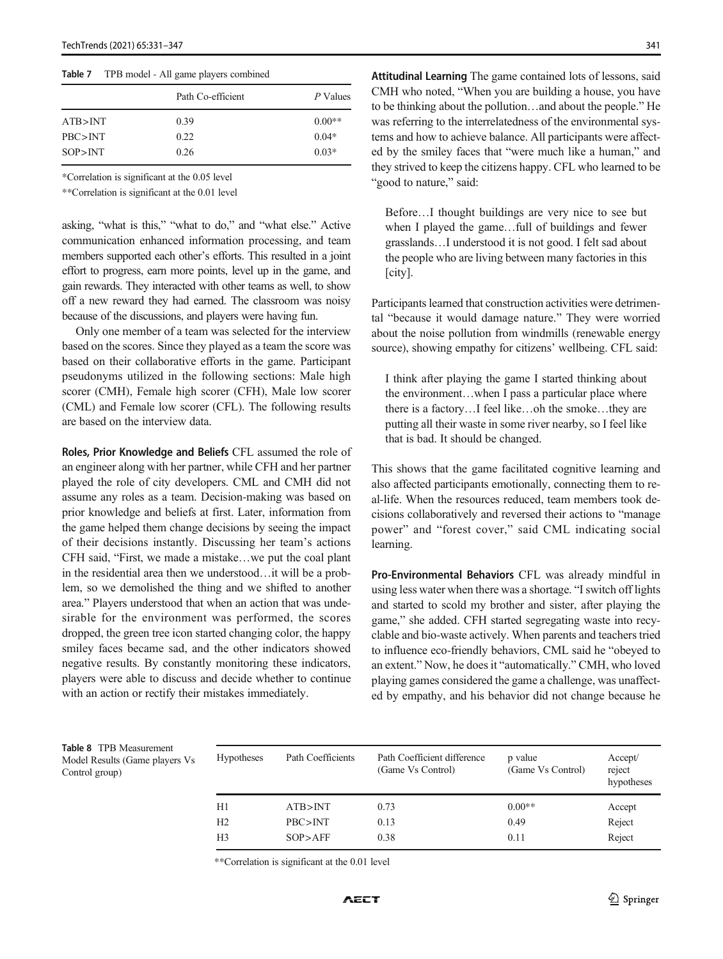<span id="page-10-0"></span>Table 7 TPB model - All game players combined

|           | Path Co-efficient | P Values |
|-----------|-------------------|----------|
| ATB > INT | 0.39              | $0.00**$ |
| PBC>INT   | 0.22              | $0.04*$  |
| SOP > INT | 0.26              | $0.03*$  |

\*Correlation is significant at the 0.05 level

\*\*Correlation is significant at the 0.01 level

asking, "what is this," "what to do," and "what else." Active communication enhanced information processing, and team members supported each other's efforts. This resulted in a joint effort to progress, earn more points, level up in the game, and gain rewards. They interacted with other teams as well, to show off a new reward they had earned. The classroom was noisy because of the discussions, and players were having fun.

Only one member of a team was selected for the interview based on the scores. Since they played as a team the score was based on their collaborative efforts in the game. Participant pseudonyms utilized in the following sections: Male high scorer (CMH), Female high scorer (CFH), Male low scorer (CML) and Female low scorer (CFL). The following results are based on the interview data.

Roles, Prior Knowledge and Beliefs CFL assumed the role of an engineer along with her partner, while CFH and her partner played the role of city developers. CML and CMH did not assume any roles as a team. Decision-making was based on prior knowledge and beliefs at first. Later, information from the game helped them change decisions by seeing the impact of their decisions instantly. Discussing her team's actions CFH said, "First, we made a mistake…we put the coal plant in the residential area then we understood…it will be a problem, so we demolished the thing and we shifted to another area." Players understood that when an action that was undesirable for the environment was performed, the scores dropped, the green tree icon started changing color, the happy smiley faces became sad, and the other indicators showed negative results. By constantly monitoring these indicators, players were able to discuss and decide whether to continue with an action or rectify their mistakes immediately.

Attitudinal Learning The game contained lots of lessons, said CMH who noted, "When you are building a house, you have to be thinking about the pollution…and about the people." He was referring to the interrelatedness of the environmental systems and how to achieve balance. All participants were affected by the smiley faces that "were much like a human," and they strived to keep the citizens happy. CFL who learned to be "good to nature," said:

Before…I thought buildings are very nice to see but when I played the game…full of buildings and fewer grasslands…I understood it is not good. I felt sad about the people who are living between many factories in this [city].

Participants learned that construction activities were detrimental "because it would damage nature." They were worried about the noise pollution from windmills (renewable energy source), showing empathy for citizens' wellbeing. CFL said:

I think after playing the game I started thinking about the environment…when I pass a particular place where there is a factory…I feel like…oh the smoke…they are putting all their waste in some river nearby, so I feel like that is bad. It should be changed.

This shows that the game facilitated cognitive learning and also affected participants emotionally, connecting them to real-life. When the resources reduced, team members took decisions collaboratively and reversed their actions to "manage power" and "forest cover," said CML indicating social learning.

Pro-Environmental Behaviors CFL was already mindful in using less water when there was a shortage. "I switch off lights and started to scold my brother and sister, after playing the game," she added. CFH started segregating waste into recyclable and bio-waste actively. When parents and teachers tried to influence eco-friendly behaviors, CML said he "obeyed to an extent." Now, he does it "automatically." CMH, who loved playing games considered the game a challenge, was unaffected by empathy, and his behavior did not change because he

Table 8 TPB Measurement Model Results (Game players Vs Control group)

| <b>Hypotheses</b> | Path Coefficients | Path Coefficient difference<br>(Game Vs Control) | p value<br>(Game Vs Control) | Accept/<br>reject<br>hypotheses |
|-------------------|-------------------|--------------------------------------------------|------------------------------|---------------------------------|
| H1                | ATB>INT           | 0.73                                             | $0.00**$                     | Accept                          |
| H <sub>2</sub>    | PBC > INT         | 0.13                                             | 0.49                         | Reject                          |
| H <sub>3</sub>    | SOP > AFF         | 0.38                                             | 0.11                         | Reject                          |

\*\*Correlation is significant at the 0.01 level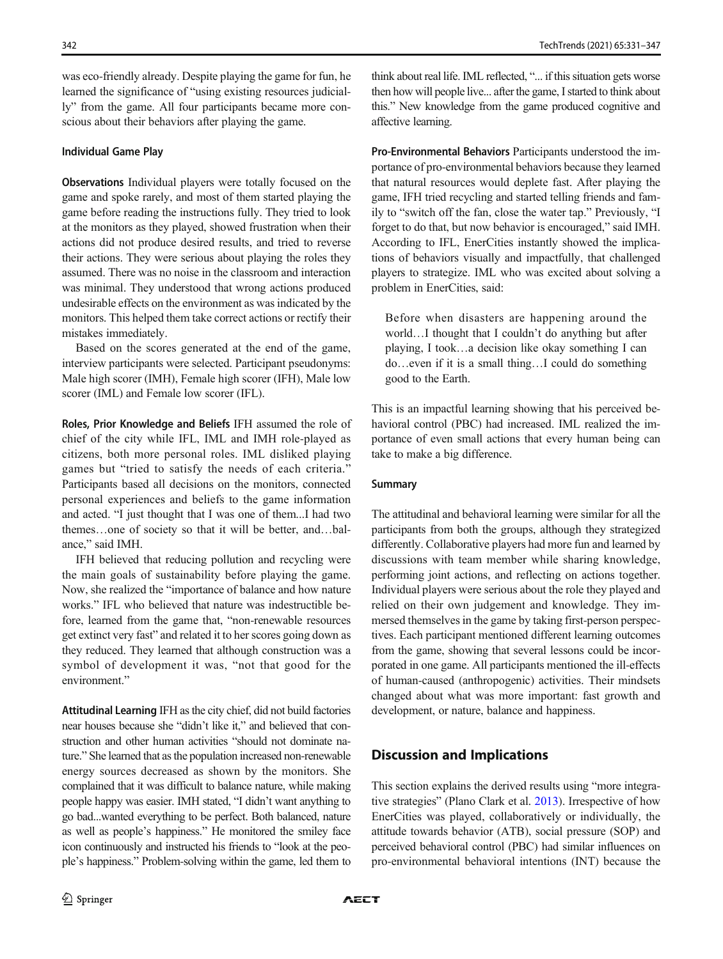was eco-friendly already. Despite playing the game for fun, he learned the significance of "using existing resources judicially" from the game. All four participants became more conscious about their behaviors after playing the game.

### Individual Game Play

Observations Individual players were totally focused on the game and spoke rarely, and most of them started playing the game before reading the instructions fully. They tried to look at the monitors as they played, showed frustration when their actions did not produce desired results, and tried to reverse their actions. They were serious about playing the roles they assumed. There was no noise in the classroom and interaction was minimal. They understood that wrong actions produced undesirable effects on the environment as was indicated by the monitors. This helped them take correct actions or rectify their mistakes immediately.

Based on the scores generated at the end of the game, interview participants were selected. Participant pseudonyms: Male high scorer (IMH), Female high scorer (IFH), Male low scorer (IML) and Female low scorer (IFL).

Roles, Prior Knowledge and Beliefs IFH assumed the role of chief of the city while IFL, IML and IMH role-played as citizens, both more personal roles. IML disliked playing games but "tried to satisfy the needs of each criteria." Participants based all decisions on the monitors, connected personal experiences and beliefs to the game information and acted. "I just thought that I was one of them...I had two themes…one of society so that it will be better, and…balance," said IMH.

IFH believed that reducing pollution and recycling were the main goals of sustainability before playing the game. Now, she realized the "importance of balance and how nature works." IFL who believed that nature was indestructible before, learned from the game that, "non-renewable resources get extinct very fast" and related it to her scores going down as they reduced. They learned that although construction was a symbol of development it was, "not that good for the environment."

Attitudinal Learning IFH as the city chief, did not build factories near houses because she "didn't like it," and believed that construction and other human activities "should not dominate nature." She learned that as the population increased non-renewable energy sources decreased as shown by the monitors. She complained that it was difficult to balance nature, while making people happy was easier. IMH stated, "I didn't want anything to go bad...wanted everything to be perfect. Both balanced, nature as well as people's happiness." He monitored the smiley face icon continuously and instructed his friends to "look at the people's happiness." Problem-solving within the game, led them to

think about real life. IML reflected, "... if this situation gets worse then how will people live... after the game, I started to think about this." New knowledge from the game produced cognitive and affective learning.

Pro-Environmental Behaviors Participants understood the importance of pro-environmental behaviors because they learned that natural resources would deplete fast. After playing the game, IFH tried recycling and started telling friends and family to "switch off the fan, close the water tap." Previously, "I forget to do that, but now behavior is encouraged," said IMH. According to IFL, EnerCities instantly showed the implications of behaviors visually and impactfully, that challenged players to strategize. IML who was excited about solving a problem in EnerCities, said:

Before when disasters are happening around the world…I thought that I couldn't do anything but after playing, I took…a decision like okay something I can do…even if it is a small thing…I could do something good to the Earth.

This is an impactful learning showing that his perceived behavioral control (PBC) had increased. IML realized the importance of even small actions that every human being can take to make a big difference.

### Summary

The attitudinal and behavioral learning were similar for all the participants from both the groups, although they strategized differently. Collaborative players had more fun and learned by discussions with team member while sharing knowledge, performing joint actions, and reflecting on actions together. Individual players were serious about the role they played and relied on their own judgement and knowledge. They immersed themselves in the game by taking first-person perspectives. Each participant mentioned different learning outcomes from the game, showing that several lessons could be incorporated in one game. All participants mentioned the ill-effects of human-caused (anthropogenic) activities. Their mindsets changed about what was more important: fast growth and development, or nature, balance and happiness.

# Discussion and Implications

This section explains the derived results using "more integrative strategies" (Plano Clark et al. [2013](#page-16-0)). Irrespective of how EnerCities was played, collaboratively or individually, the attitude towards behavior (ATB), social pressure (SOP) and perceived behavioral control (PBC) had similar influences on pro-environmental behavioral intentions (INT) because the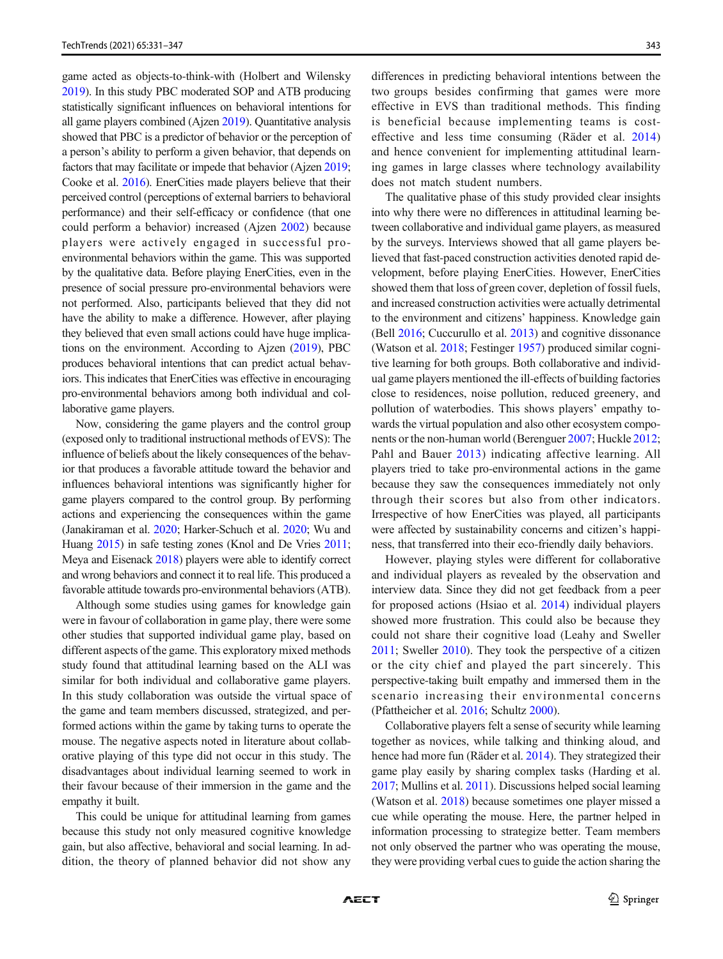game acted as objects-to-think-with (Holbert and Wilensky [2019](#page-15-0)). In this study PBC moderated SOP and ATB producing statistically significant influences on behavioral intentions for all game players combined (Ajzen [2019](#page-14-0)). Quantitative analysis showed that PBC is a predictor of behavior or the perception of a person's ability to perform a given behavior, that depends on factors that may facilitate or impede that behavior (Ajzen [2019](#page-14-0); Cooke et al. [2016\)](#page-14-0). EnerCities made players believe that their perceived control (perceptions of external barriers to behavioral performance) and their self-efficacy or confidence (that one could perform a behavior) increased (Ajzen [2002](#page-14-0)) because players were actively engaged in successful proenvironmental behaviors within the game. This was supported by the qualitative data. Before playing EnerCities, even in the presence of social pressure pro-environmental behaviors were not performed. Also, participants believed that they did not have the ability to make a difference. However, after playing they believed that even small actions could have huge implications on the environment. According to Ajzen [\(2019](#page-14-0)), PBC produces behavioral intentions that can predict actual behaviors. This indicates that EnerCities was effective in encouraging pro-environmental behaviors among both individual and collaborative game players.

Now, considering the game players and the control group (exposed only to traditional instructional methods of EVS): The influence of beliefs about the likely consequences of the behavior that produces a favorable attitude toward the behavior and influences behavioral intentions was significantly higher for game players compared to the control group. By performing actions and experiencing the consequences within the game (Janakiraman et al. [2020;](#page-15-0) Harker-Schuch et al. [2020;](#page-15-0) Wu and Huang [2015\)](#page-16-0) in safe testing zones (Knol and De Vries [2011](#page-15-0); Meya and Eisenack [2018](#page-15-0)) players were able to identify correct and wrong behaviors and connect it to real life. This produced a favorable attitude towards pro-environmental behaviors (ATB).

Although some studies using games for knowledge gain were in favour of collaboration in game play, there were some other studies that supported individual game play, based on different aspects of the game. This exploratory mixed methods study found that attitudinal learning based on the ALI was similar for both individual and collaborative game players. In this study collaboration was outside the virtual space of the game and team members discussed, strategized, and performed actions within the game by taking turns to operate the mouse. The negative aspects noted in literature about collaborative playing of this type did not occur in this study. The disadvantages about individual learning seemed to work in their favour because of their immersion in the game and the empathy it built.

This could be unique for attitudinal learning from games because this study not only measured cognitive knowledge gain, but also affective, behavioral and social learning. In addition, the theory of planned behavior did not show any differences in predicting behavioral intentions between the two groups besides confirming that games were more effective in EVS than traditional methods. This finding is beneficial because implementing teams is costeffective and less time consuming (Räder et al. [2014](#page-16-0)) and hence convenient for implementing attitudinal learning games in large classes where technology availability does not match student numbers.

The qualitative phase of this study provided clear insights into why there were no differences in attitudinal learning between collaborative and individual game players, as measured by the surveys. Interviews showed that all game players believed that fast-paced construction activities denoted rapid development, before playing EnerCities. However, EnerCities showed them that loss of green cover, depletion of fossil fuels, and increased construction activities were actually detrimental to the environment and citizens' happiness. Knowledge gain (Bell [2016;](#page-14-0) Cuccurullo et al. [2013](#page-14-0)) and cognitive dissonance (Watson et al. [2018;](#page-16-0) Festinger [1957\)](#page-14-0) produced similar cognitive learning for both groups. Both collaborative and individual game players mentioned the ill-effects of building factories close to residences, noise pollution, reduced greenery, and pollution of waterbodies. This shows players' empathy towards the virtual population and also other ecosystem components or the non-human world (Berenguer [2007;](#page-14-0) Huckle [2012;](#page-15-0) Pahl and Bauer [2013](#page-16-0)) indicating affective learning. All players tried to take pro-environmental actions in the game because they saw the consequences immediately not only through their scores but also from other indicators. Irrespective of how EnerCities was played, all participants were affected by sustainability concerns and citizen's happiness, that transferred into their eco-friendly daily behaviors.

However, playing styles were different for collaborative and individual players as revealed by the observation and interview data. Since they did not get feedback from a peer for proposed actions (Hsiao et al. [2014\)](#page-15-0) individual players showed more frustration. This could also be because they could not share their cognitive load (Leahy and Sweller [2011;](#page-15-0) Sweller [2010](#page-16-0)). They took the perspective of a citizen or the city chief and played the part sincerely. This perspective-taking built empathy and immersed them in the scenario increasing their environmental concerns (Pfattheicher et al. [2016](#page-16-0); Schultz [2000\)](#page-16-0).

Collaborative players felt a sense of security while learning together as novices, while talking and thinking aloud, and hence had more fun (Räder et al. [2014\)](#page-16-0). They strategized their game play easily by sharing complex tasks (Harding et al. [2017;](#page-15-0) Mullins et al. [2011](#page-15-0)). Discussions helped social learning (Watson et al. [2018](#page-16-0)) because sometimes one player missed a cue while operating the mouse. Here, the partner helped in information processing to strategize better. Team members not only observed the partner who was operating the mouse, they were providing verbal cues to guide the action sharing the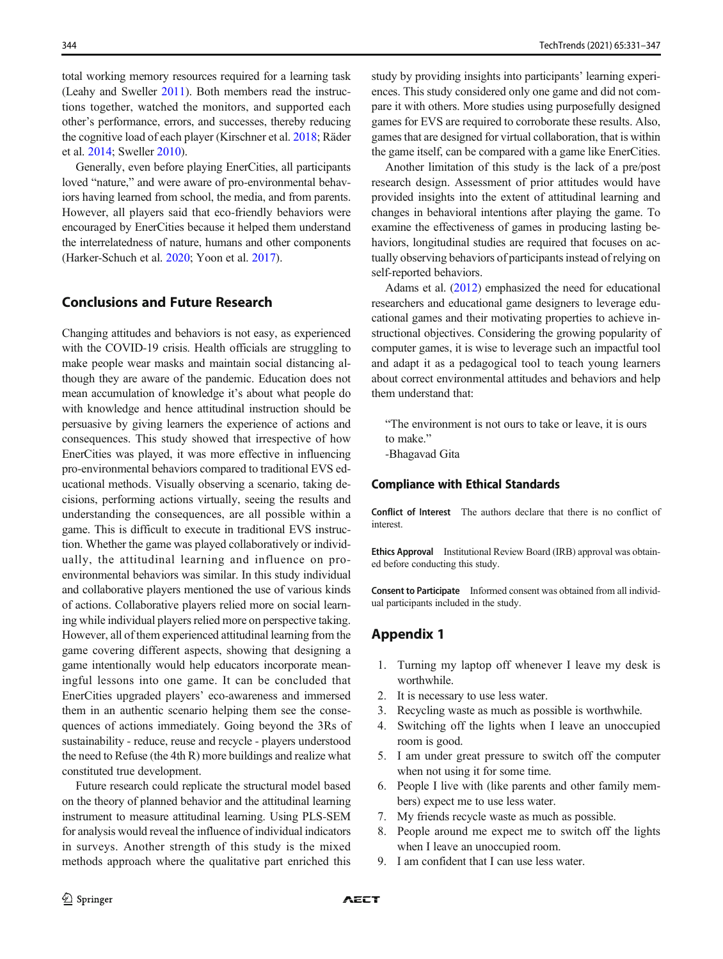<span id="page-13-0"></span>total working memory resources required for a learning task (Leahy and Sweller [2011\)](#page-15-0). Both members read the instructions together, watched the monitors, and supported each other's performance, errors, and successes, thereby reducing the cognitive load of each player (Kirschner et al. [2018](#page-15-0); Räder et al. [2014](#page-16-0); Sweller [2010\)](#page-16-0).

Generally, even before playing EnerCities, all participants loved "nature," and were aware of pro-environmental behaviors having learned from school, the media, and from parents. However, all players said that eco-friendly behaviors were encouraged by EnerCities because it helped them understand the interrelatedness of nature, humans and other components (Harker-Schuch et al. [2020](#page-15-0); Yoon et al. [2017](#page-16-0)).

## Conclusions and Future Research

Changing attitudes and behaviors is not easy, as experienced with the COVID-19 crisis. Health officials are struggling to make people wear masks and maintain social distancing although they are aware of the pandemic. Education does not mean accumulation of knowledge it's about what people do with knowledge and hence attitudinal instruction should be persuasive by giving learners the experience of actions and consequences. This study showed that irrespective of how EnerCities was played, it was more effective in influencing pro-environmental behaviors compared to traditional EVS educational methods. Visually observing a scenario, taking decisions, performing actions virtually, seeing the results and understanding the consequences, are all possible within a game. This is difficult to execute in traditional EVS instruction. Whether the game was played collaboratively or individually, the attitudinal learning and influence on proenvironmental behaviors was similar. In this study individual and collaborative players mentioned the use of various kinds of actions. Collaborative players relied more on social learning while individual players relied more on perspective taking. However, all of them experienced attitudinal learning from the game covering different aspects, showing that designing a game intentionally would help educators incorporate meaningful lessons into one game. It can be concluded that EnerCities upgraded players' eco-awareness and immersed them in an authentic scenario helping them see the consequences of actions immediately. Going beyond the 3Rs of sustainability - reduce, reuse and recycle - players understood the need to Refuse (the 4th R) more buildings and realize what constituted true development.

Future research could replicate the structural model based on the theory of planned behavior and the attitudinal learning instrument to measure attitudinal learning. Using PLS-SEM for analysis would reveal the influence of individual indicators in surveys. Another strength of this study is the mixed methods approach where the qualitative part enriched this

study by providing insights into participants' learning experiences. This study considered only one game and did not compare it with others. More studies using purposefully designed games for EVS are required to corroborate these results. Also, games that are designed for virtual collaboration, that is within the game itself, can be compared with a game like EnerCities.

Another limitation of this study is the lack of a pre/post research design. Assessment of prior attitudes would have provided insights into the extent of attitudinal learning and changes in behavioral intentions after playing the game. To examine the effectiveness of games in producing lasting behaviors, longitudinal studies are required that focuses on actually observing behaviors of participants instead of relying on self-reported behaviors.

Adams et al. [\(2012\)](#page-14-0) emphasized the need for educational researchers and educational game designers to leverage educational games and their motivating properties to achieve instructional objectives. Considering the growing popularity of computer games, it is wise to leverage such an impactful tool and adapt it as a pedagogical tool to teach young learners about correct environmental attitudes and behaviors and help them understand that:

"The environment is not ours to take or leave, it is ours to make." -Bhagavad Gita

## Compliance with Ethical Standards

Conflict of Interest The authors declare that there is no conflict of interest.

**Ethics Approval** Institutional Review Board (IRB) approval was obtained before conducting this study.

Consent to Participate Informed consent was obtained from all individual participants included in the study.

# Appendix 1

- 1. Turning my laptop off whenever I leave my desk is worthwhile.
- 2. It is necessary to use less water.
- 3. Recycling waste as much as possible is worthwhile.
- 4. Switching off the lights when I leave an unoccupied room is good.
- 5. I am under great pressure to switch off the computer when not using it for some time.
- 6. People I live with (like parents and other family members) expect me to use less water.
- 7. My friends recycle waste as much as possible.
- 8. People around me expect me to switch off the lights when I leave an unoccupied room.
- 9. I am confident that I can use less water.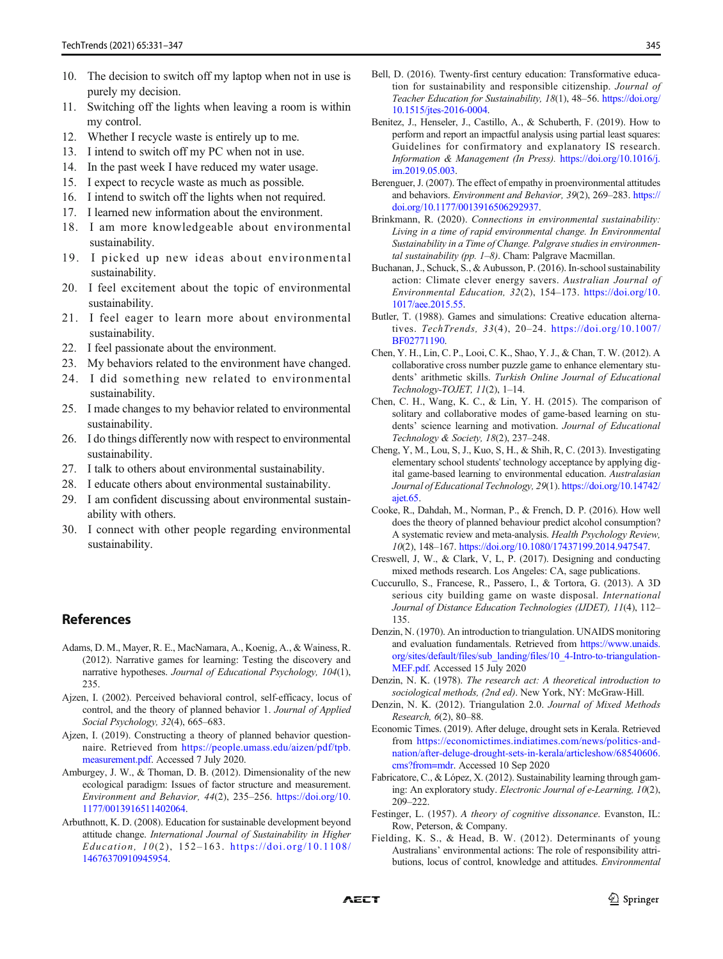- <span id="page-14-0"></span>10. The decision to switch off my laptop when not in use is purely my decision.
- 11. Switching off the lights when leaving a room is within my control.
- 12. Whether I recycle waste is entirely up to me.
- 13. I intend to switch off my PC when not in use.
- 14. In the past week I have reduced my water usage.
- 15. I expect to recycle waste as much as possible.
- 16. I intend to switch off the lights when not required.
- 17. I learned new information about the environment.
- 18. I am more knowledgeable about environmental sustainability.
- 19. I picked up new ideas about environmental sustainability.
- 20. I feel excitement about the topic of environmental sustainability.
- 21. I feel eager to learn more about environmental sustainability.
- 22. I feel passionate about the environment.
- 23. My behaviors related to the environment have changed.
- 24. I did something new related to environmental sustainability.
- 25. I made changes to my behavior related to environmental sustainability.
- 26. I do things differently now with respect to environmental sustainability.
- 27. I talk to others about environmental sustainability.
- 28. I educate others about environmental sustainability.
- 29. I am confident discussing about environmental sustainability with others.
- 30. I connect with other people regarding environmental sustainability.

# References

- Adams, D. M., Mayer, R. E., MacNamara, A., Koenig, A., & Wainess, R. (2012). Narrative games for learning: Testing the discovery and narrative hypotheses. Journal of Educational Psychology, 104(1), 235.
- Ajzen, I. (2002). Perceived behavioral control, self-efficacy, locus of control, and the theory of planned behavior 1. Journal of Applied Social Psychology, 32(4), 665–683.
- Ajzen, I. (2019). Constructing a theory of planned behavior questionnaire. Retrieved from [https://people.umass.edu/aizen/pdf/tpb.](https://people.umass.edu/aizen/pdf/tpb.measurement.pdf) [measurement.pdf](https://people.umass.edu/aizen/pdf/tpb.measurement.pdf). Accessed 7 July 2020.
- Amburgey, J. W., & Thoman, D. B. (2012). Dimensionality of the new ecological paradigm: Issues of factor structure and measurement. Environment and Behavior, 44(2), 235–256. [https://doi.org/10.](https://doi.org/10.1177/0013916511402064) [1177/0013916511402064.](https://doi.org/10.1177/0013916511402064)
- Arbuthnott, K. D. (2008). Education for sustainable development beyond attitude change. International Journal of Sustainability in Higher Education, 10(2), 152–163. [https://doi.org/10.1108/](https://doi.org/10.1108/14676370910945954) [14676370910945954](https://doi.org/10.1108/14676370910945954).
- Bell, D. (2016). Twenty-first century education: Transformative education for sustainability and responsible citizenship. Journal of Teacher Education for Sustainability, 18(1), 48–56. [https://doi.org/](https://doi.org/10.1515/jtes-2016-0004) [10.1515/jtes-2016-0004.](https://doi.org/10.1515/jtes-2016-0004)
- Benitez, J., Henseler, J., Castillo, A., & Schuberth, F. (2019). How to perform and report an impactful analysis using partial least squares: Guidelines for confirmatory and explanatory IS research. Information & Management (In Press). [https://doi.org/10.1016/j.](https://doi.org/10.1016/j.im.2019.05.003) [im.2019.05.003.](https://doi.org/10.1016/j.im.2019.05.003)
- Berenguer, J. (2007). The effect of empathy in proenvironmental attitudes and behaviors. Environment and Behavior, 39(2), 269–283. [https://](https://doi.org/10.1177/0013916506292937) [doi.org/10.1177/0013916506292937.](https://doi.org/10.1177/0013916506292937)
- Brinkmann, R. (2020). Connections in environmental sustainability: Living in a time of rapid environmental change. In Environmental Sustainability in a Time of Change. Palgrave studies in environmental sustainability (pp.  $1-8$ ). Cham: Palgrave Macmillan.
- Buchanan, J., Schuck, S., & Aubusson, P. (2016). In-school sustainability action: Climate clever energy savers. Australian Journal of Environmental Education, 32(2), 154–173. [https://doi.org/10.](https://doi.org/10.1017/aee.2015.55) [1017/aee.2015.55](https://doi.org/10.1017/aee.2015.55).
- Butler, T. (1988). Games and simulations: Creative education alternatives. TechTrends, 33(4), 20–24. [https://doi.org/10.1007/](https://doi.org/10.1007/BF02771190) [BF02771190](https://doi.org/10.1007/BF02771190).
- Chen, Y. H., Lin, C. P., Looi, C. K., Shao, Y. J., & Chan, T. W. (2012). A collaborative cross number puzzle game to enhance elementary students' arithmetic skills. Turkish Online Journal of Educational Technology-TOJET, 11(2), 1–14.
- Chen, C. H., Wang, K. C., & Lin, Y. H. (2015). The comparison of solitary and collaborative modes of game-based learning on students' science learning and motivation. Journal of Educational Technology & Society, 18(2), 237–248.
- Cheng, Y, M., Lou, S, J., Kuo, S, H., & Shih, R, C. (2013). Investigating elementary school students' technology acceptance by applying digital game-based learning to environmental education. Australasian Journal of Educational Technology, 29(1). [https://doi.org/10.14742/](https://doi.org/10.14742/ajet.65) [ajet.65.](https://doi.org/10.14742/ajet.65)
- Cooke, R., Dahdah, M., Norman, P., & French, D. P. (2016). How well does the theory of planned behaviour predict alcohol consumption? A systematic review and meta-analysis. Health Psychology Review, 10(2), 148–167. [https://doi.org/10.1080/17437199.2014.947547.](https://doi.org/10.1080/17437199.2014.947547)
- Creswell, J, W., & Clark, V, L, P. (2017). Designing and conducting mixed methods research. Los Angeles: CA, sage publications.
- Cuccurullo, S., Francese, R., Passero, I., & Tortora, G. (2013). A 3D serious city building game on waste disposal. International Journal of Distance Education Technologies (IJDET), 11(4), 112– 135.
- Denzin, N. (1970). An introduction to triangulation. UNAIDS monitoring and evaluation fundamentals. Retrieved from [https://www.unaids.](https://www.unaids.org/sites/default/files/sub_landing/files/10_4-Intro-to-triangulation-MEF.pdf) [org/sites/default/files/sub\\_landing/files/10\\_4-Intro-to-triangulation-](https://www.unaids.org/sites/default/files/sub_landing/files/10_4-Intro-to-triangulation-MEF.pdf)[MEF.pdf.](https://www.unaids.org/sites/default/files/sub_landing/files/10_4-Intro-to-triangulation-MEF.pdf) Accessed 15 July 2020
- Denzin, N. K. (1978). The research act: A theoretical introduction to sociological methods, (2nd ed). New York, NY: McGraw-Hill.
- Denzin, N. K. (2012). Triangulation 2.0. Journal of Mixed Methods Research, 6(2), 80–88.
- Economic Times. (2019). After deluge, drought sets in Kerala. Retrieved from [https://economictimes.indiatimes.com/news/politics-and](https://economictimes.indiatimes.com/news/politics-and-nation/after-deluge-drought-sets-in-kerala/articleshow/68540606.cms?from=mdr)[nation/after-deluge-drought-sets-in-kerala/articleshow/68540606.](https://economictimes.indiatimes.com/news/politics-and-nation/after-deluge-drought-sets-in-kerala/articleshow/68540606.cms?from=mdr) [cms?from=mdr.](https://economictimes.indiatimes.com/news/politics-and-nation/after-deluge-drought-sets-in-kerala/articleshow/68540606.cms?from=mdr) Accessed 10 Sep 2020
- Fabricatore, C., & López, X. (2012). Sustainability learning through gaming: An exploratory study. Electronic Journal of e-Learning, 10(2), 209–222.
- Festinger, L. (1957). A theory of cognitive dissonance. Evanston, IL: Row, Peterson, & Company.
- Fielding, K. S., & Head, B. W. (2012). Determinants of young Australians' environmental actions: The role of responsibility attributions, locus of control, knowledge and attitudes. Environmental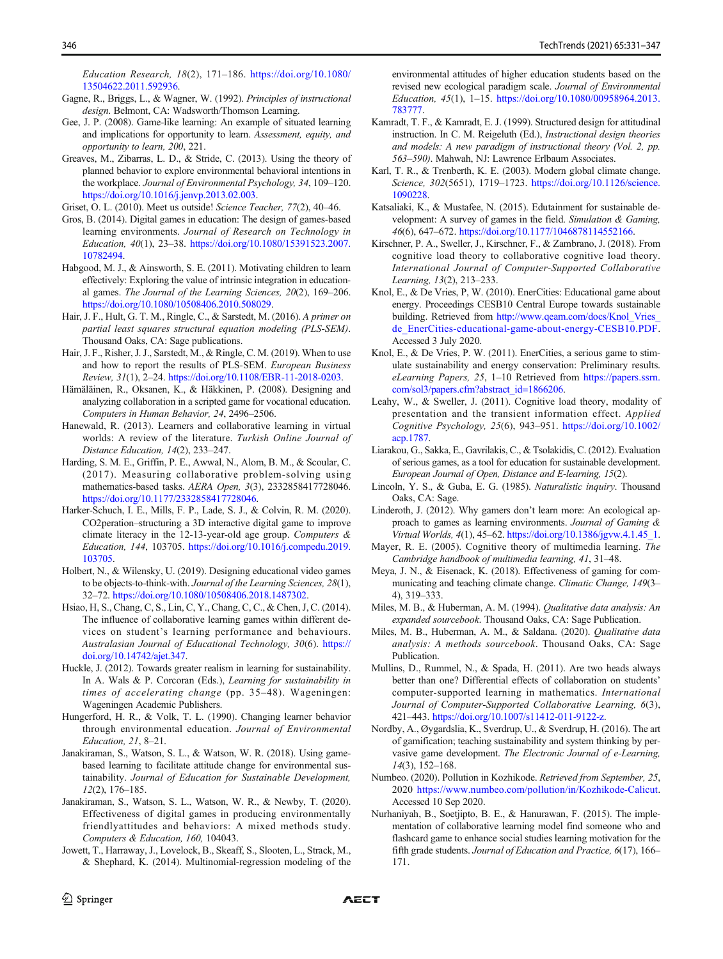<span id="page-15-0"></span>Education Research, 18(2), 171–186. [https://doi.org/10.1080/](https://doi.org/10.1080/13504622.2011.592936) [13504622.2011.592936](https://doi.org/10.1080/13504622.2011.592936).

- Gagne, R., Briggs, L., & Wagner, W. (1992). Principles of instructional design. Belmont, CA: Wadsworth/Thomson Learning.
- Gee, J. P. (2008). Game-like learning: An example of situated learning and implications for opportunity to learn. Assessment, equity, and opportunity to learn, 200, 221.
- Greaves, M., Zibarras, L. D., & Stride, C. (2013). Using the theory of planned behavior to explore environmental behavioral intentions in the workplace. Journal of Environmental Psychology, 34, 109–120. [https://doi.org/10.1016/j.jenvp.2013.02.003.](https://doi.org/10.1016/j.jenvp.2013.02.003)

Griset, O. L. (2010). Meet us outside! Science Teacher, 77(2), 40–46.

- Gros, B. (2014). Digital games in education: The design of games-based learning environments. Journal of Research on Technology in Education, 40(1), 23–38. [https://doi.org/10.1080/15391523.2007.](https://doi.org/10.1080/15391523.2007.10782494) [10782494](https://doi.org/10.1080/15391523.2007.10782494).
- Habgood, M. J., & Ainsworth, S. E. (2011). Motivating children to learn effectively: Exploring the value of intrinsic integration in educational games. The Journal of the Learning Sciences, 20(2), 169–206. <https://doi.org/10.1080/10508406.2010.508029>.
- Hair, J. F., Hult, G. T. M., Ringle, C., & Sarstedt, M. (2016). A primer on partial least squares structural equation modeling (PLS-SEM). Thousand Oaks, CA: Sage publications.
- Hair, J. F., Risher, J. J., Sarstedt, M., & Ringle, C. M. (2019). When to use and how to report the results of PLS-SEM. European Business Review, 31(1), 2–24. <https://doi.org/10.1108/EBR-11-2018-0203>.
- Hämäläinen, R., Oksanen, K., & Häkkinen, P. (2008). Designing and analyzing collaboration in a scripted game for vocational education. Computers in Human Behavior, 24, 2496–2506.
- Hanewald, R. (2013). Learners and collaborative learning in virtual worlds: A review of the literature. Turkish Online Journal of Distance Education, 14(2), 233–247.
- Harding, S. M. E., Griffin, P. E., Awwal, N., Alom, B. M., & Scoular, C. (2017). Measuring collaborative problem-solving using mathematics-based tasks. AERA Open, 3(3), 2332858417728046. <https://doi.org/10.1177/2332858417728046>.
- Harker-Schuch, I. E., Mills, F. P., Lade, S. J., & Colvin, R. M. (2020). CO2peration–structuring a 3D interactive digital game to improve climate literacy in the 12-13-year-old age group. Computers  $\&$ Education, 144, 103705. [https://doi.org/10.1016/j.compedu.2019.](https://doi.org/10.1016/j.compedu.2019.103705) [103705.](https://doi.org/10.1016/j.compedu.2019.103705)
- Holbert, N., & Wilensky, U. (2019). Designing educational video games to be objects-to-think-with. Journal of the Learning Sciences, 28(1), 32–72. [https://doi.org/10.1080/10508406.2018.1487302.](https://doi.org/10.1080/10508406.2018.1487302)
- Hsiao, H, S., Chang, C, S., Lin, C, Y., Chang, C, C., & Chen, J, C. (2014). The influence of collaborative learning games within different devices on student's learning performance and behaviours. Australasian Journal of Educational Technology, 30(6). [https://](https://doi.org/10.14742/ajet.347) [doi.org/10.14742/ajet.347.](https://doi.org/10.14742/ajet.347)
- Huckle, J. (2012). Towards greater realism in learning for sustainability. In A. Wals & P. Corcoran (Eds.), Learning for sustainability in times of accelerating change (pp. 35–48). Wageningen: Wageningen Academic Publishers.
- Hungerford, H. R., & Volk, T. L. (1990). Changing learner behavior through environmental education. Journal of Environmental Education, 21, 8–21.
- Janakiraman, S., Watson, S. L., & Watson, W. R. (2018). Using gamebased learning to facilitate attitude change for environmental sustainability. Journal of Education for Sustainable Development, 12(2), 176–185.
- Janakiraman, S., Watson, S. L., Watson, W. R., & Newby, T. (2020). Effectiveness of digital games in producing environmentally friendlyattitudes and behaviors: A mixed methods study. Computers & Education, 160, 104043.
- Jowett, T., Harraway, J., Lovelock, B., Skeaff, S., Slooten, L., Strack, M., & Shephard, K. (2014). Multinomial-regression modeling of the

environmental attitudes of higher education students based on the revised new ecological paradigm scale. Journal of Environmental Education, 45(1), 1–15. [https://doi.org/10.1080/00958964.2013.](https://doi.org/10.1080/00958964.2013.783777) [783777.](https://doi.org/10.1080/00958964.2013.783777)

- Kamradt, T. F., & Kamradt, E. J. (1999). Structured design for attitudinal instruction. In C. M. Reigeluth (Ed.), Instructional design theories and models: A new paradigm of instructional theory (Vol. 2, pp. 563–590). Mahwah, NJ: Lawrence Erlbaum Associates.
- Karl, T. R., & Trenberth, K. E. (2003). Modern global climate change. Science, 302(5651), 1719-1723. [https://doi.org/10.1126/science.](https://doi.org/10.1126/science.1090228) [1090228](https://doi.org/10.1126/science.1090228).
- Katsaliaki, K., & Mustafee, N. (2015). Edutainment for sustainable development: A survey of games in the field. Simulation & Gaming, 46(6), 647–672. [https://doi.org/10.1177/1046878114552166.](https://doi.org/10.1177/1046878114552166)
- Kirschner, P. A., Sweller, J., Kirschner, F., & Zambrano, J. (2018). From cognitive load theory to collaborative cognitive load theory. International Journal of Computer-Supported Collaborative Learning, 13(2), 213–233.
- Knol, E., & De Vries, P, W. (2010). EnerCities: Educational game about energy. Proceedings CESB10 Central Europe towards sustainable building. Retrieved from http://www.qeam.com/docs/Knol\_Vries [de\\_EnerCities-educational-game-about-energy-CESB10.PDF](http://www.qeam.com/docs/Knol_Vries_de_EnerCities-educational-game-about-energy-CESB10.PDF). Accessed 3 July 2020.
- Knol, E., & De Vries, P. W. (2011). EnerCities, a serious game to stimulate sustainability and energy conservation: Preliminary results. eLearning Papers, 25, 1–10 Retrieved from [https://papers.ssrn.](https://papers.ssrn.com/sol3/papers.cfm?abstract_id=1866206) [com/sol3/papers.cfm?abstract\\_id=1866206](https://papers.ssrn.com/sol3/papers.cfm?abstract_id=1866206).
- Leahy, W., & Sweller, J. (2011). Cognitive load theory, modality of presentation and the transient information effect. Applied Cognitive Psychology, 25(6), 943–951. [https://doi.org/10.1002/](https://doi.org/10.1002/acp.1787) [acp.1787.](https://doi.org/10.1002/acp.1787)
- Liarakou, G., Sakka, E., Gavrilakis, C., & Tsolakidis, C. (2012). Evaluation of serious games, as a tool for education for sustainable development. European Journal of Open, Distance and E-learning, 15(2).
- Lincoln, Y. S., & Guba, E. G. (1985). Naturalistic inquiry. Thousand Oaks, CA: Sage.
- Linderoth, J. (2012). Why gamers don't learn more: An ecological approach to games as learning environments. Journal of Gaming & Virtual Worlds, 4(1), 45–62. [https://doi.org/10.1386/jgvw.4.1.45\\_1](https://doi.org/10.1386/jgvw.4.1.45_1).
- Mayer, R. E. (2005). Cognitive theory of multimedia learning. The Cambridge handbook of multimedia learning, 41, 31–48.
- Meya, J. N., & Eisenack, K. (2018). Effectiveness of gaming for communicating and teaching climate change. Climatic Change, 149(3– 4), 319–333.
- Miles, M. B., & Huberman, A. M. (1994). Qualitative data analysis: An expanded sourcebook. Thousand Oaks, CA: Sage Publication.
- Miles, M. B., Huberman, A. M., & Saldana. (2020). Qualitative data analysis: A methods sourcebook. Thousand Oaks, CA: Sage Publication.
- Mullins, D., Rummel, N., & Spada, H. (2011). Are two heads always better than one? Differential effects of collaboration on students' computer-supported learning in mathematics. International Journal of Computer-Supported Collaborative Learning, 6(3), 421–443. [https://doi.org/10.1007/s11412-011-9122-z.](https://doi.org/10.1007/s11412-011-9122-z)
- Nordby, A., Øygardslia, K., Sverdrup, U., & Sverdrup, H. (2016). The art of gamification; teaching sustainability and system thinking by pervasive game development. The Electronic Journal of e-Learning, 14(3), 152–168.
- Numbeo. (2020). Pollution in Kozhikode. Retrieved from September, 25, 2020 <https://www.numbeo.com/pollution/in/Kozhikode-Calicut>. Accessed 10 Sep 2020.
- Nurhaniyah, B., Soetjipto, B. E., & Hanurawan, F. (2015). The implementation of collaborative learning model find someone who and flashcard game to enhance social studies learning motivation for the fifth grade students. Journal of Education and Practice, 6(17), 166– 171.